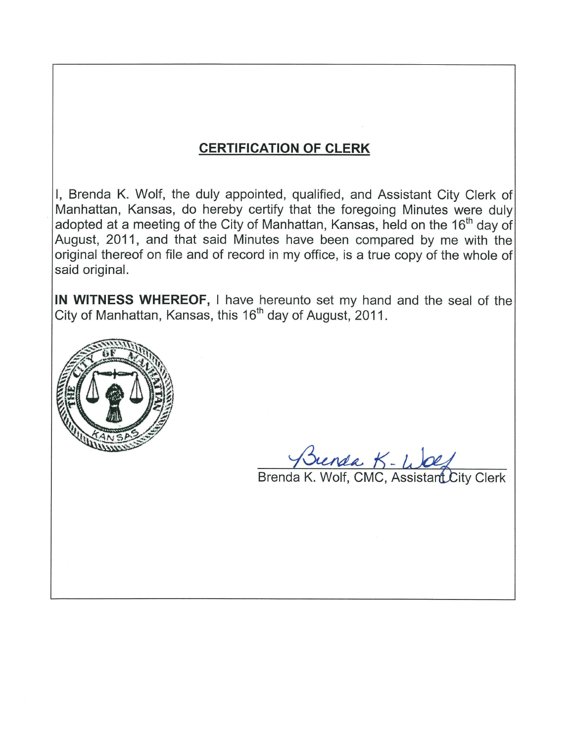## **CERTIFICATION OF CLERK**

I, Brenda K. Wolf, the duly appointed, qualified, and Assistant City Clerk of Manhattan, Kansas, do hereby certify that the foregoing Minutes were duly adopted at a meeting of the City of Manhattan. Kansas, held on the 16<sup>th</sup> day of August, 2011, and that said Minutes have been compared by me with the original thereof on file and of record in my office, is a true copy of the whole of said original.

IN WITNESS WHEREOF, I have hereunto set my hand and the seal of the City of Manhattan, Kansas, this 16<sup>th</sup> day of August, 2011.



Sunda K - Wolf<br>Brenda K. Wolf, CMC, Assistant City Clerk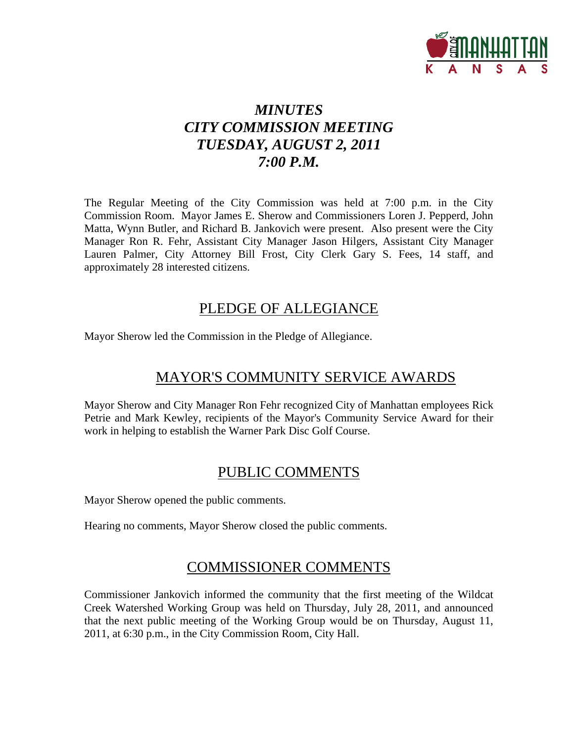

## *MINUTES CITY COMMISSION MEETING TUESDAY, AUGUST 2, 2011 7:00 P.M.*

The Regular Meeting of the City Commission was held at 7:00 p.m. in the City Commission Room. Mayor James E. Sherow and Commissioners Loren J. Pepperd, John Matta, Wynn Butler, and Richard B. Jankovich were present. Also present were the City Manager Ron R. Fehr, Assistant City Manager Jason Hilgers, Assistant City Manager Lauren Palmer, City Attorney Bill Frost, City Clerk Gary S. Fees, 14 staff, and approximately 28 interested citizens.

## PLEDGE OF ALLEGIANCE

Mayor Sherow led the Commission in the Pledge of Allegiance.

## MAYOR'S COMMUNITY SERVICE AWARDS

Mayor Sherow and City Manager Ron Fehr recognized City of Manhattan employees Rick Petrie and Mark Kewley, recipients of the Mayor's Community Service Award for their work in helping to establish the Warner Park Disc Golf Course.

## PUBLIC COMMENTS

Mayor Sherow opened the public comments.

Hearing no comments, Mayor Sherow closed the public comments.

## COMMISSIONER COMMENTS

Commissioner Jankovich informed the community that the first meeting of the Wildcat Creek Watershed Working Group was held on Thursday, July 28, 2011, and announced that the next public meeting of the Working Group would be on Thursday, August 11, 2011, at 6:30 p.m., in the City Commission Room, City Hall.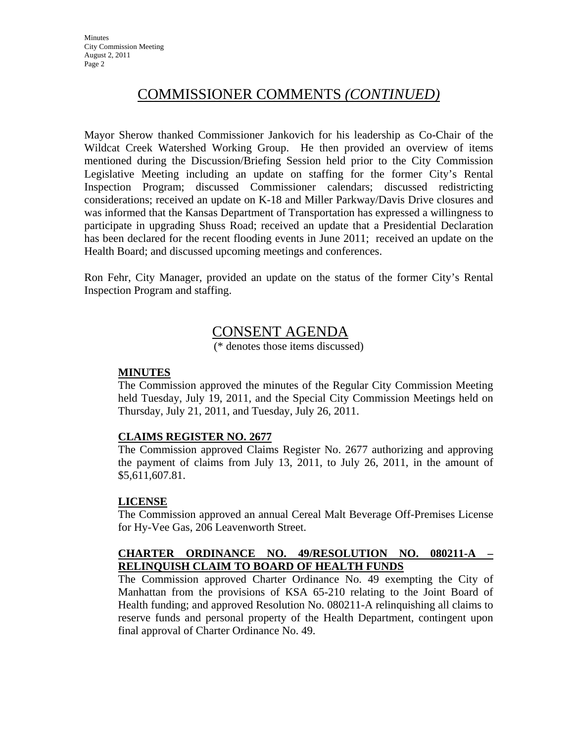## COMMISSIONER COMMENTS *(CONTINUED)*

Mayor Sherow thanked Commissioner Jankovich for his leadership as Co-Chair of the Wildcat Creek Watershed Working Group. He then provided an overview of items mentioned during the Discussion/Briefing Session held prior to the City Commission Legislative Meeting including an update on staffing for the former City's Rental Inspection Program; discussed Commissioner calendars; discussed redistricting considerations; received an update on K-18 and Miller Parkway/Davis Drive closures and was informed that the Kansas Department of Transportation has expressed a willingness to participate in upgrading Shuss Road; received an update that a Presidential Declaration has been declared for the recent flooding events in June 2011; received an update on the Health Board; and discussed upcoming meetings and conferences.

Ron Fehr, City Manager, provided an update on the status of the former City's Rental Inspection Program and staffing.

## CONSENT AGENDA

(\* denotes those items discussed)

#### **MINUTES**

The Commission approved the minutes of the Regular City Commission Meeting held Tuesday, July 19, 2011, and the Special City Commission Meetings held on Thursday, July 21, 2011, and Tuesday, July 26, 2011.

#### **CLAIMS REGISTER NO. 2677**

The Commission approved Claims Register No. 2677 authorizing and approving the payment of claims from July 13, 2011, to July 26, 2011, in the amount of \$5,611,607.81.

#### **LICENSE**

The Commission approved an annual Cereal Malt Beverage Off-Premises License for Hy-Vee Gas, 206 Leavenworth Street.

#### **CHARTER ORDINANCE NO. 49/RESOLUTION NO. 080211-A – RELINQUISH CLAIM TO BOARD OF HEALTH FUNDS**

The Commission approved Charter Ordinance No. 49 exempting the City of Manhattan from the provisions of KSA 65-210 relating to the Joint Board of Health funding; and approved Resolution No. 080211-A relinquishing all claims to reserve funds and personal property of the Health Department, contingent upon final approval of Charter Ordinance No. 49.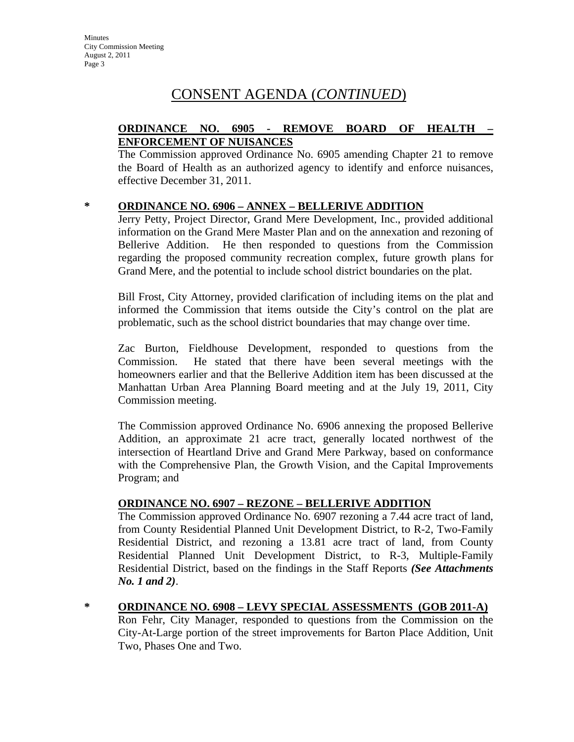#### **ORDINANCE NO. 6905 - REMOVE BOARD OF HEALTH – ENFORCEMENT OF NUISANCES**

The Commission approved Ordinance No. 6905 amending Chapter 21 to remove the Board of Health as an authorized agency to identify and enforce nuisances, effective December 31, 2011.

#### **\* ORDINANCE NO. 6906 – ANNEX – BELLERIVE ADDITION**

Jerry Petty, Project Director, Grand Mere Development, Inc., provided additional information on the Grand Mere Master Plan and on the annexation and rezoning of Bellerive Addition. He then responded to questions from the Commission regarding the proposed community recreation complex, future growth plans for Grand Mere, and the potential to include school district boundaries on the plat.

Bill Frost, City Attorney, provided clarification of including items on the plat and informed the Commission that items outside the City's control on the plat are problematic, such as the school district boundaries that may change over time.

Zac Burton, Fieldhouse Development, responded to questions from the Commission. He stated that there have been several meetings with the homeowners earlier and that the Bellerive Addition item has been discussed at the Manhattan Urban Area Planning Board meeting and at the July 19, 2011, City Commission meeting.

The Commission approved Ordinance No. 6906 annexing the proposed Bellerive Addition, an approximate 21 acre tract, generally located northwest of the intersection of Heartland Drive and Grand Mere Parkway, based on conformance with the Comprehensive Plan, the Growth Vision, and the Capital Improvements Program; and

#### **ORDINANCE NO. 6907 – REZONE – BELLERIVE ADDITION**

The Commission approved Ordinance No. 6907 rezoning a 7.44 acre tract of land, from County Residential Planned Unit Development District, to R-2, Two-Family Residential District, and rezoning a 13.81 acre tract of land, from County Residential Planned Unit Development District, to R-3, Multiple-Family Residential District, based on the findings in the Staff Reports *(See Attachments No. 1 and 2)*.

**\* ORDINANCE NO. 6908 – LEVY SPECIAL ASSESSMENTS (GOB 2011-A)**

Ron Fehr, City Manager, responded to questions from the Commission on the City-At-Large portion of the street improvements for Barton Place Addition, Unit Two, Phases One and Two.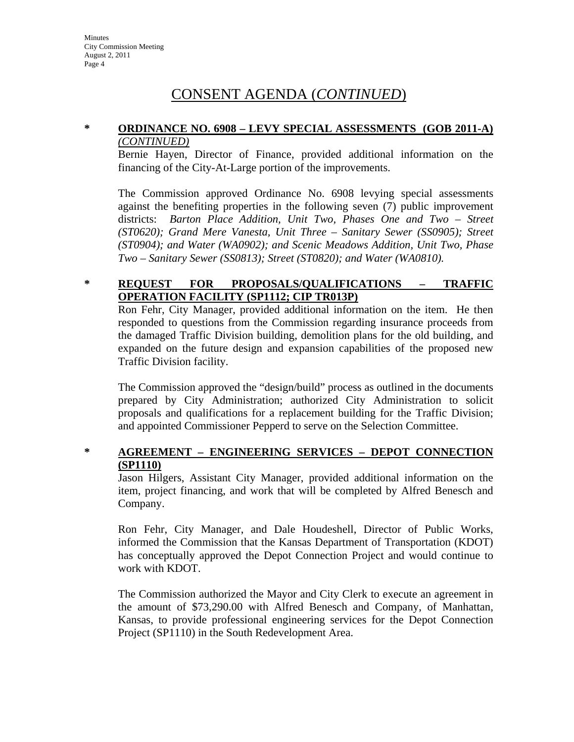#### **\* ORDINANCE NO. 6908 – LEVY SPECIAL ASSESSMENTS (GOB 2011-A)** *(CONTINUED)*

Bernie Hayen, Director of Finance, provided additional information on the financing of the City-At-Large portion of the improvements.

The Commission approved Ordinance No. 6908 levying special assessments against the benefiting properties in the following seven (7) public improvement districts: *Barton Place Addition, Unit Two, Phases One and Two – Street (ST0620); Grand Mere Vanesta, Unit Three – Sanitary Sewer (SS0905); Street (ST0904); and Water (WA0902); and Scenic Meadows Addition, Unit Two, Phase Two – Sanitary Sewer (SS0813); Street (ST0820); and Water (WA0810).* 

#### **\* REQUEST FOR PROPOSALS/QUALIFICATIONS – TRAFFIC OPERATION FACILITY (SP1112; CIP TR013P)**

Ron Fehr, City Manager, provided additional information on the item. He then responded to questions from the Commission regarding insurance proceeds from the damaged Traffic Division building, demolition plans for the old building, and expanded on the future design and expansion capabilities of the proposed new Traffic Division facility.

The Commission approved the "design/build" process as outlined in the documents prepared by City Administration; authorized City Administration to solicit proposals and qualifications for a replacement building for the Traffic Division; and appointed Commissioner Pepperd to serve on the Selection Committee.

#### **\* AGREEMENT – ENGINEERING SERVICES – DEPOT CONNECTION (SP1110)**

Jason Hilgers, Assistant City Manager, provided additional information on the item, project financing, and work that will be completed by Alfred Benesch and Company.

Ron Fehr, City Manager, and Dale Houdeshell, Director of Public Works, informed the Commission that the Kansas Department of Transportation (KDOT) has conceptually approved the Depot Connection Project and would continue to work with KDOT.

The Commission authorized the Mayor and City Clerk to execute an agreement in the amount of \$73,290.00 with Alfred Benesch and Company, of Manhattan, Kansas, to provide professional engineering services for the Depot Connection Project (SP1110) in the South Redevelopment Area.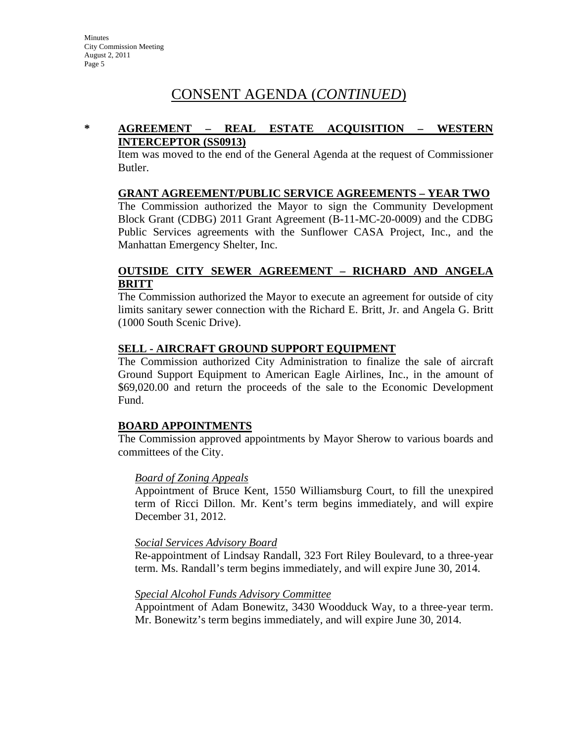#### **\* AGREEMENT – REAL ESTATE ACQUISITION – WESTERN INTERCEPTOR (SS0913)**

Item was moved to the end of the General Agenda at the request of Commissioner Butler.

#### **GRANT AGREEMENT/PUBLIC SERVICE AGREEMENTS – YEAR TWO**

The Commission authorized the Mayor to sign the Community Development Block Grant (CDBG) 2011 Grant Agreement (B-11-MC-20-0009) and the CDBG Public Services agreements with the Sunflower CASA Project, Inc., and the Manhattan Emergency Shelter, Inc.

#### **OUTSIDE CITY SEWER AGREEMENT – RICHARD AND ANGELA BRITT**

The Commission authorized the Mayor to execute an agreement for outside of city limits sanitary sewer connection with the Richard E. Britt, Jr. and Angela G. Britt (1000 South Scenic Drive).

#### **SELL - AIRCRAFT GROUND SUPPORT EQUIPMENT**

The Commission authorized City Administration to finalize the sale of aircraft Ground Support Equipment to American Eagle Airlines, Inc., in the amount of \$69,020.00 and return the proceeds of the sale to the Economic Development Fund.

#### **BOARD APPOINTMENTS**

The Commission approved appointments by Mayor Sherow to various boards and committees of the City.

#### *Board of Zoning Appeals*

Appointment of Bruce Kent, 1550 Williamsburg Court, to fill the unexpired term of Ricci Dillon. Mr. Kent's term begins immediately, and will expire December 31, 2012.

#### *Social Services Advisory Board*

Re-appointment of Lindsay Randall, 323 Fort Riley Boulevard, to a three-year term. Ms. Randall's term begins immediately, and will expire June 30, 2014.

#### *Special Alcohol Funds Advisory Committee*

Appointment of Adam Bonewitz, 3430 Woodduck Way, to a three-year term. Mr. Bonewitz's term begins immediately, and will expire June 30, 2014.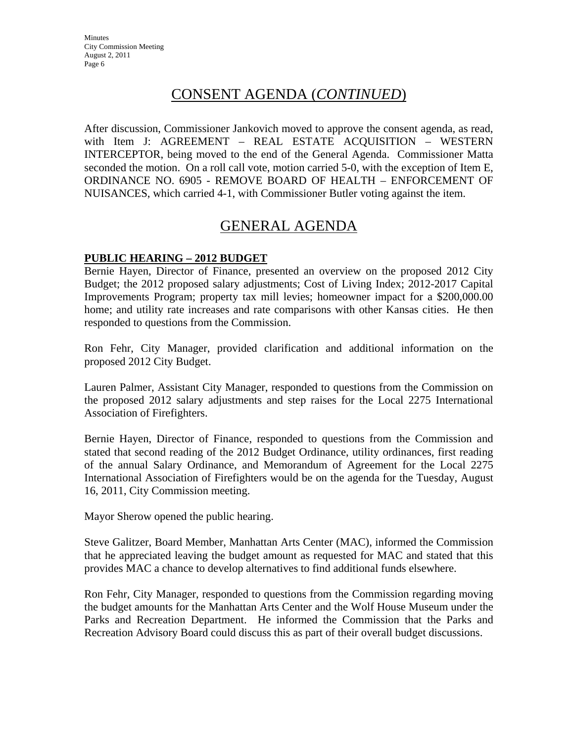After discussion, Commissioner Jankovich moved to approve the consent agenda, as read, with Item J: AGREEMENT – REAL ESTATE ACQUISITION – WESTERN INTERCEPTOR, being moved to the end of the General Agenda. Commissioner Matta seconded the motion. On a roll call vote, motion carried 5-0, with the exception of Item E, ORDINANCE NO. 6905 - REMOVE BOARD OF HEALTH – ENFORCEMENT OF NUISANCES, which carried 4-1, with Commissioner Butler voting against the item.

## GENERAL AGENDA

#### **PUBLIC HEARING – 2012 BUDGET**

Bernie Hayen, Director of Finance, presented an overview on the proposed 2012 City Budget; the 2012 proposed salary adjustments; Cost of Living Index; 2012-2017 Capital Improvements Program; property tax mill levies; homeowner impact for a \$200,000.00 home; and utility rate increases and rate comparisons with other Kansas cities. He then responded to questions from the Commission.

Ron Fehr, City Manager, provided clarification and additional information on the proposed 2012 City Budget.

Lauren Palmer, Assistant City Manager, responded to questions from the Commission on the proposed 2012 salary adjustments and step raises for the Local 2275 International Association of Firefighters.

Bernie Hayen, Director of Finance, responded to questions from the Commission and stated that second reading of the 2012 Budget Ordinance, utility ordinances, first reading of the annual Salary Ordinance, and Memorandum of Agreement for the Local 2275 International Association of Firefighters would be on the agenda for the Tuesday, August 16, 2011, City Commission meeting.

Mayor Sherow opened the public hearing.

Steve Galitzer, Board Member, Manhattan Arts Center (MAC), informed the Commission that he appreciated leaving the budget amount as requested for MAC and stated that this provides MAC a chance to develop alternatives to find additional funds elsewhere.

Ron Fehr, City Manager, responded to questions from the Commission regarding moving the budget amounts for the Manhattan Arts Center and the Wolf House Museum under the Parks and Recreation Department. He informed the Commission that the Parks and Recreation Advisory Board could discuss this as part of their overall budget discussions.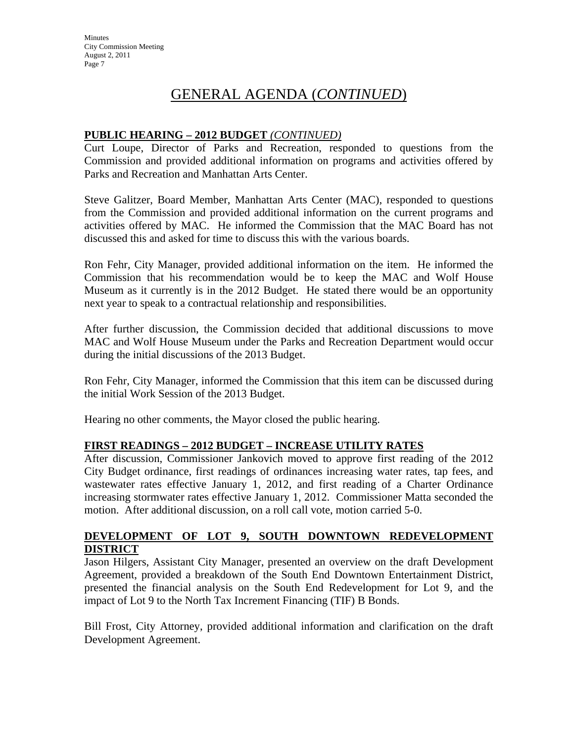#### **PUBLIC HEARING – 2012 BUDGET** *(CONTINUED)*

Curt Loupe, Director of Parks and Recreation, responded to questions from the Commission and provided additional information on programs and activities offered by Parks and Recreation and Manhattan Arts Center.

Steve Galitzer, Board Member, Manhattan Arts Center (MAC), responded to questions from the Commission and provided additional information on the current programs and activities offered by MAC. He informed the Commission that the MAC Board has not discussed this and asked for time to discuss this with the various boards.

Ron Fehr, City Manager, provided additional information on the item. He informed the Commission that his recommendation would be to keep the MAC and Wolf House Museum as it currently is in the 2012 Budget. He stated there would be an opportunity next year to speak to a contractual relationship and responsibilities.

After further discussion, the Commission decided that additional discussions to move MAC and Wolf House Museum under the Parks and Recreation Department would occur during the initial discussions of the 2013 Budget.

Ron Fehr, City Manager, informed the Commission that this item can be discussed during the initial Work Session of the 2013 Budget.

Hearing no other comments, the Mayor closed the public hearing.

#### **FIRST READINGS – 2012 BUDGET – INCREASE UTILITY RATES**

After discussion, Commissioner Jankovich moved to approve first reading of the 2012 City Budget ordinance, first readings of ordinances increasing water rates, tap fees, and wastewater rates effective January 1, 2012, and first reading of a Charter Ordinance increasing stormwater rates effective January 1, 2012. Commissioner Matta seconded the motion. After additional discussion, on a roll call vote, motion carried 5-0.

#### **DEVELOPMENT OF LOT 9, SOUTH DOWNTOWN REDEVELOPMENT DISTRICT**

Jason Hilgers, Assistant City Manager, presented an overview on the draft Development Agreement, provided a breakdown of the South End Downtown Entertainment District, presented the financial analysis on the South End Redevelopment for Lot 9, and the impact of Lot 9 to the North Tax Increment Financing (TIF) B Bonds.

Bill Frost, City Attorney, provided additional information and clarification on the draft Development Agreement.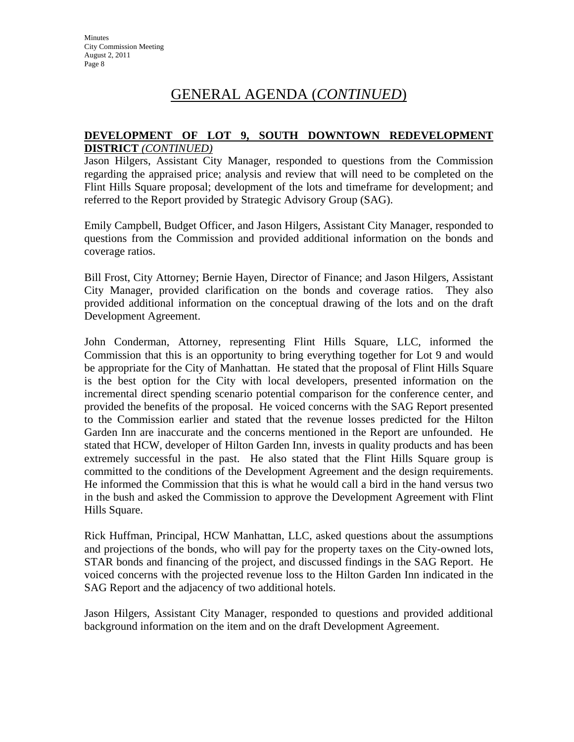#### **DEVELOPMENT OF LOT 9, SOUTH DOWNTOWN REDEVELOPMENT DISTRICT** *(CONTINUED)*

Jason Hilgers, Assistant City Manager, responded to questions from the Commission regarding the appraised price; analysis and review that will need to be completed on the Flint Hills Square proposal; development of the lots and timeframe for development; and referred to the Report provided by Strategic Advisory Group (SAG).

Emily Campbell, Budget Officer, and Jason Hilgers, Assistant City Manager, responded to questions from the Commission and provided additional information on the bonds and coverage ratios.

Bill Frost, City Attorney; Bernie Hayen, Director of Finance; and Jason Hilgers, Assistant City Manager, provided clarification on the bonds and coverage ratios. They also provided additional information on the conceptual drawing of the lots and on the draft Development Agreement.

John Conderman, Attorney, representing Flint Hills Square, LLC, informed the Commission that this is an opportunity to bring everything together for Lot 9 and would be appropriate for the City of Manhattan. He stated that the proposal of Flint Hills Square is the best option for the City with local developers, presented information on the incremental direct spending scenario potential comparison for the conference center, and provided the benefits of the proposal. He voiced concerns with the SAG Report presented to the Commission earlier and stated that the revenue losses predicted for the Hilton Garden Inn are inaccurate and the concerns mentioned in the Report are unfounded. He stated that HCW, developer of Hilton Garden Inn, invests in quality products and has been extremely successful in the past. He also stated that the Flint Hills Square group is committed to the conditions of the Development Agreement and the design requirements. He informed the Commission that this is what he would call a bird in the hand versus two in the bush and asked the Commission to approve the Development Agreement with Flint Hills Square.

Rick Huffman, Principal, HCW Manhattan, LLC, asked questions about the assumptions and projections of the bonds, who will pay for the property taxes on the City-owned lots, STAR bonds and financing of the project, and discussed findings in the SAG Report. He voiced concerns with the projected revenue loss to the Hilton Garden Inn indicated in the SAG Report and the adjacency of two additional hotels.

Jason Hilgers, Assistant City Manager, responded to questions and provided additional background information on the item and on the draft Development Agreement.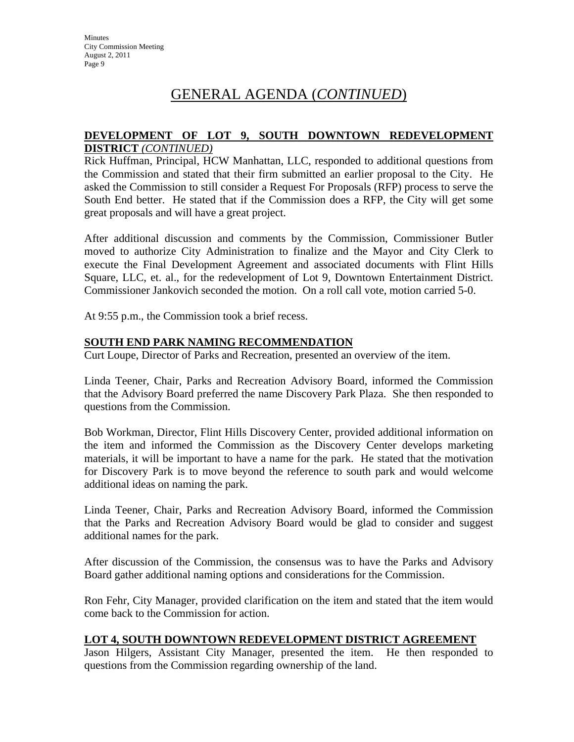#### **DEVELOPMENT OF LOT 9, SOUTH DOWNTOWN REDEVELOPMENT DISTRICT** *(CONTINUED)*

Rick Huffman, Principal, HCW Manhattan, LLC, responded to additional questions from the Commission and stated that their firm submitted an earlier proposal to the City. He asked the Commission to still consider a Request For Proposals (RFP) process to serve the South End better. He stated that if the Commission does a RFP, the City will get some great proposals and will have a great project.

After additional discussion and comments by the Commission, Commissioner Butler moved to authorize City Administration to finalize and the Mayor and City Clerk to execute the Final Development Agreement and associated documents with Flint Hills Square, LLC, et. al., for the redevelopment of Lot 9, Downtown Entertainment District. Commissioner Jankovich seconded the motion. On a roll call vote, motion carried 5-0.

At 9:55 p.m., the Commission took a brief recess.

#### **SOUTH END PARK NAMING RECOMMENDATION**

Curt Loupe, Director of Parks and Recreation, presented an overview of the item.

Linda Teener, Chair, Parks and Recreation Advisory Board, informed the Commission that the Advisory Board preferred the name Discovery Park Plaza. She then responded to questions from the Commission.

Bob Workman, Director, Flint Hills Discovery Center, provided additional information on the item and informed the Commission as the Discovery Center develops marketing materials, it will be important to have a name for the park. He stated that the motivation for Discovery Park is to move beyond the reference to south park and would welcome additional ideas on naming the park.

Linda Teener, Chair, Parks and Recreation Advisory Board, informed the Commission that the Parks and Recreation Advisory Board would be glad to consider and suggest additional names for the park.

After discussion of the Commission, the consensus was to have the Parks and Advisory Board gather additional naming options and considerations for the Commission.

Ron Fehr, City Manager, provided clarification on the item and stated that the item would come back to the Commission for action.

#### **LOT 4, SOUTH DOWNTOWN REDEVELOPMENT DISTRICT AGREEMENT**

Jason Hilgers, Assistant City Manager, presented the item. He then responded to questions from the Commission regarding ownership of the land.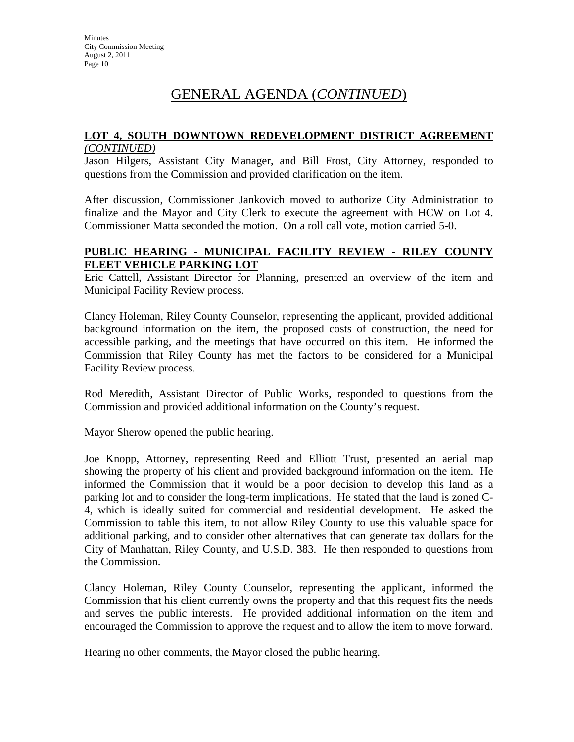#### **LOT 4, SOUTH DOWNTOWN REDEVELOPMENT DISTRICT AGREEMENT** *(CONTINUED)*

Jason Hilgers, Assistant City Manager, and Bill Frost, City Attorney, responded to questions from the Commission and provided clarification on the item.

After discussion, Commissioner Jankovich moved to authorize City Administration to finalize and the Mayor and City Clerk to execute the agreement with HCW on Lot 4. Commissioner Matta seconded the motion. On a roll call vote, motion carried 5-0.

#### **PUBLIC HEARING - MUNICIPAL FACILITY REVIEW - RILEY COUNTY FLEET VEHICLE PARKING LOT**

Eric Cattell, Assistant Director for Planning, presented an overview of the item and Municipal Facility Review process.

Clancy Holeman, Riley County Counselor, representing the applicant, provided additional background information on the item, the proposed costs of construction, the need for accessible parking, and the meetings that have occurred on this item. He informed the Commission that Riley County has met the factors to be considered for a Municipal Facility Review process.

Rod Meredith, Assistant Director of Public Works, responded to questions from the Commission and provided additional information on the County's request.

Mayor Sherow opened the public hearing.

Joe Knopp, Attorney, representing Reed and Elliott Trust, presented an aerial map showing the property of his client and provided background information on the item. He informed the Commission that it would be a poor decision to develop this land as a parking lot and to consider the long-term implications. He stated that the land is zoned C-4, which is ideally suited for commercial and residential development. He asked the Commission to table this item, to not allow Riley County to use this valuable space for additional parking, and to consider other alternatives that can generate tax dollars for the City of Manhattan, Riley County, and U.S.D. 383. He then responded to questions from the Commission.

Clancy Holeman, Riley County Counselor, representing the applicant, informed the Commission that his client currently owns the property and that this request fits the needs and serves the public interests. He provided additional information on the item and encouraged the Commission to approve the request and to allow the item to move forward.

Hearing no other comments, the Mayor closed the public hearing.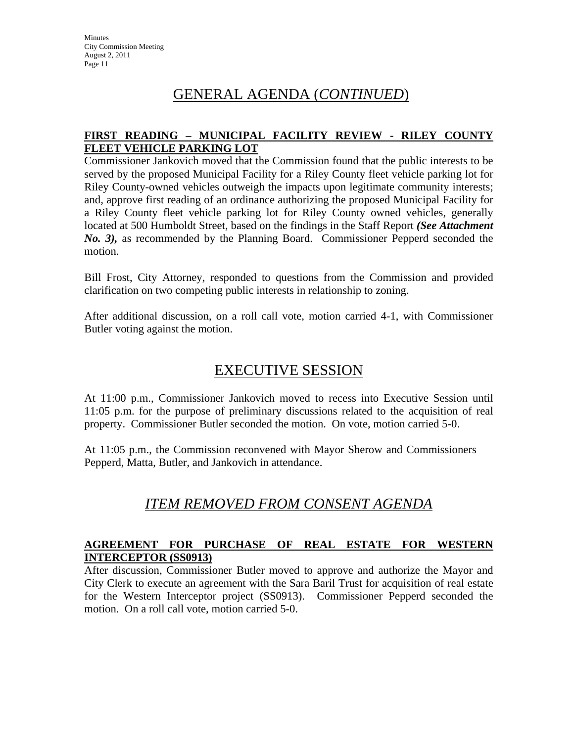#### **FIRST READING – MUNICIPAL FACILITY REVIEW - RILEY COUNTY FLEET VEHICLE PARKING LOT**

Commissioner Jankovich moved that the Commission found that the public interests to be served by the proposed Municipal Facility for a Riley County fleet vehicle parking lot for Riley County-owned vehicles outweigh the impacts upon legitimate community interests; and, approve first reading of an ordinance authorizing the proposed Municipal Facility for a Riley County fleet vehicle parking lot for Riley County owned vehicles, generally located at 500 Humboldt Street, based on the findings in the Staff Report *(See Attachment No. 3),* as recommended by the Planning Board. Commissioner Pepperd seconded the motion.

Bill Frost, City Attorney, responded to questions from the Commission and provided clarification on two competing public interests in relationship to zoning.

After additional discussion, on a roll call vote, motion carried 4-1, with Commissioner Butler voting against the motion.

## EXECUTIVE SESSION

At 11:00 p.m., Commissioner Jankovich moved to recess into Executive Session until 11:05 p.m. for the purpose of preliminary discussions related to the acquisition of real property. Commissioner Butler seconded the motion. On vote, motion carried 5-0.

At 11:05 p.m., the Commission reconvened with Mayor Sherow and Commissioners Pepperd, Matta, Butler, and Jankovich in attendance.

## *ITEM REMOVED FROM CONSENT AGENDA*

#### **AGREEMENT FOR PURCHASE OF REAL ESTATE FOR WESTERN INTERCEPTOR (SS0913)**

After discussion, Commissioner Butler moved to approve and authorize the Mayor and City Clerk to execute an agreement with the Sara Baril Trust for acquisition of real estate for the Western Interceptor project (SS0913). Commissioner Pepperd seconded the motion. On a roll call vote, motion carried 5-0.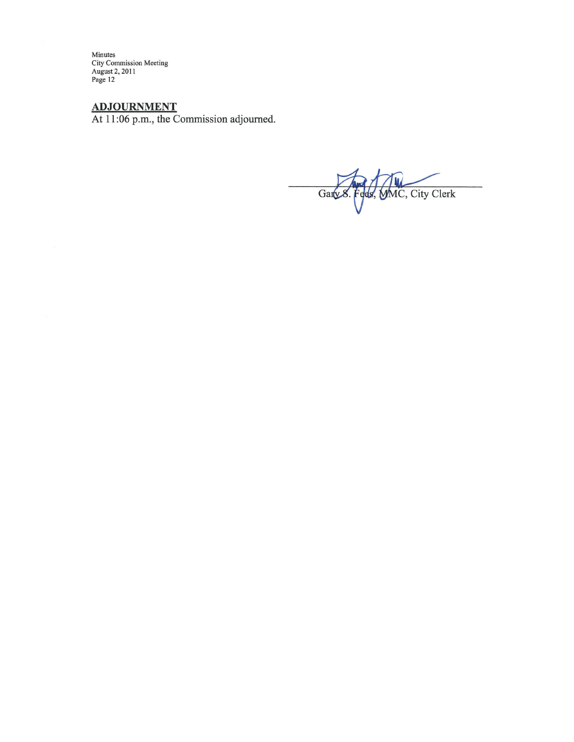Minutes<br>City Commission Meeting<br>August 2, 2011<br>Page 12

ADJOURNMENT<br>At 11:06 p.m., the Commission adjourned.

Gary 8. Fees, MMC, City Clerk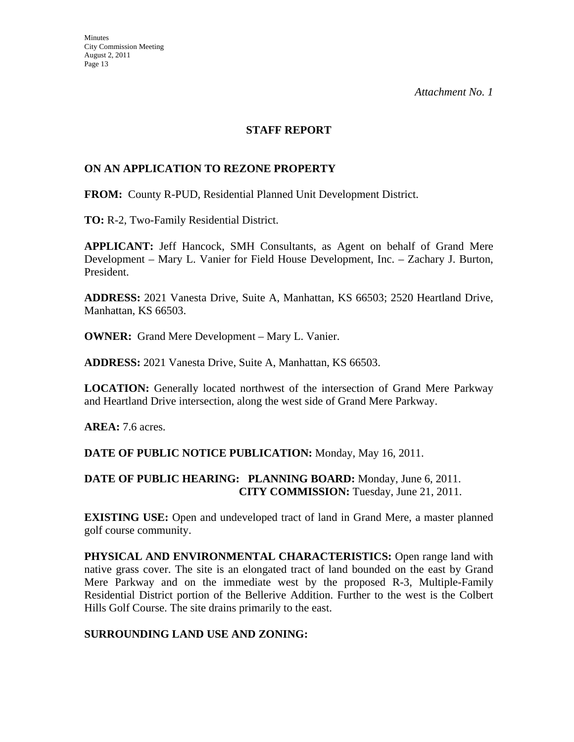#### **STAFF REPORT**

#### **ON AN APPLICATION TO REZONE PROPERTY**

**FROM:** County R-PUD, Residential Planned Unit Development District.

**TO:** R-2, Two-Family Residential District.

**APPLICANT:** Jeff Hancock, SMH Consultants, as Agent on behalf of Grand Mere Development – Mary L. Vanier for Field House Development, Inc. – Zachary J. Burton, President.

**ADDRESS:** 2021 Vanesta Drive, Suite A, Manhattan, KS 66503; 2520 Heartland Drive, Manhattan, KS 66503.

**OWNER:** Grand Mere Development – Mary L. Vanier.

**ADDRESS:** 2021 Vanesta Drive, Suite A, Manhattan, KS 66503.

**LOCATION:** Generally located northwest of the intersection of Grand Mere Parkway and Heartland Drive intersection, along the west side of Grand Mere Parkway.

**AREA:** 7.6 acres.

**DATE OF PUBLIC NOTICE PUBLICATION:** Monday, May 16, 2011.

#### **DATE OF PUBLIC HEARING: PLANNING BOARD:** Monday, June 6, 2011. **CITY COMMISSION:** Tuesday, June 21, 2011.

**EXISTING USE:** Open and undeveloped tract of land in Grand Mere, a master planned golf course community.

**PHYSICAL AND ENVIRONMENTAL CHARACTERISTICS:** Open range land with native grass cover. The site is an elongated tract of land bounded on the east by Grand Mere Parkway and on the immediate west by the proposed R-3, Multiple-Family Residential District portion of the Bellerive Addition. Further to the west is the Colbert Hills Golf Course. The site drains primarily to the east.

#### **SURROUNDING LAND USE AND ZONING:**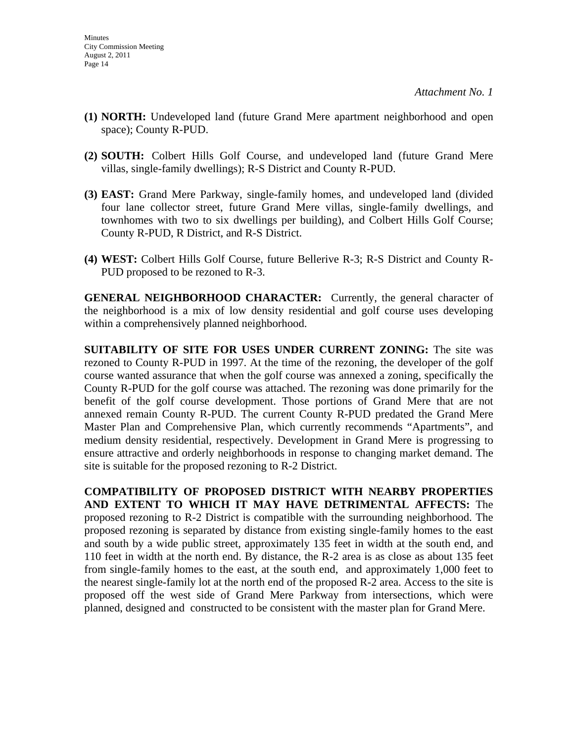- **(1) NORTH:** Undeveloped land (future Grand Mere apartment neighborhood and open space); County R-PUD.
- **(2) SOUTH:** Colbert Hills Golf Course, and undeveloped land (future Grand Mere villas, single-family dwellings); R-S District and County R-PUD.
- **(3) EAST:** Grand Mere Parkway, single-family homes, and undeveloped land (divided four lane collector street, future Grand Mere villas, single-family dwellings, and townhomes with two to six dwellings per building), and Colbert Hills Golf Course; County R-PUD, R District, and R-S District.
- **(4) WEST:** Colbert Hills Golf Course, future Bellerive R-3; R-S District and County R-PUD proposed to be rezoned to R-3.

**GENERAL NEIGHBORHOOD CHARACTER:** Currently, the general character of the neighborhood is a mix of low density residential and golf course uses developing within a comprehensively planned neighborhood.

**SUITABILITY OF SITE FOR USES UNDER CURRENT ZONING:** The site was rezoned to County R-PUD in 1997. At the time of the rezoning, the developer of the golf course wanted assurance that when the golf course was annexed a zoning, specifically the County R-PUD for the golf course was attached. The rezoning was done primarily for the benefit of the golf course development. Those portions of Grand Mere that are not annexed remain County R-PUD. The current County R-PUD predated the Grand Mere Master Plan and Comprehensive Plan, which currently recommends "Apartments", and medium density residential, respectively. Development in Grand Mere is progressing to ensure attractive and orderly neighborhoods in response to changing market demand. The site is suitable for the proposed rezoning to R-2 District.

**COMPATIBILITY OF PROPOSED DISTRICT WITH NEARBY PROPERTIES AND EXTENT TO WHICH IT MAY HAVE DETRIMENTAL AFFECTS:** The proposed rezoning to R-2 District is compatible with the surrounding neighborhood. The proposed rezoning is separated by distance from existing single-family homes to the east and south by a wide public street, approximately 135 feet in width at the south end, and 110 feet in width at the north end. By distance, the R-2 area is as close as about 135 feet from single-family homes to the east, at the south end, and approximately 1,000 feet to the nearest single-family lot at the north end of the proposed R-2 area. Access to the site is proposed off the west side of Grand Mere Parkway from intersections, which were planned, designed and constructed to be consistent with the master plan for Grand Mere.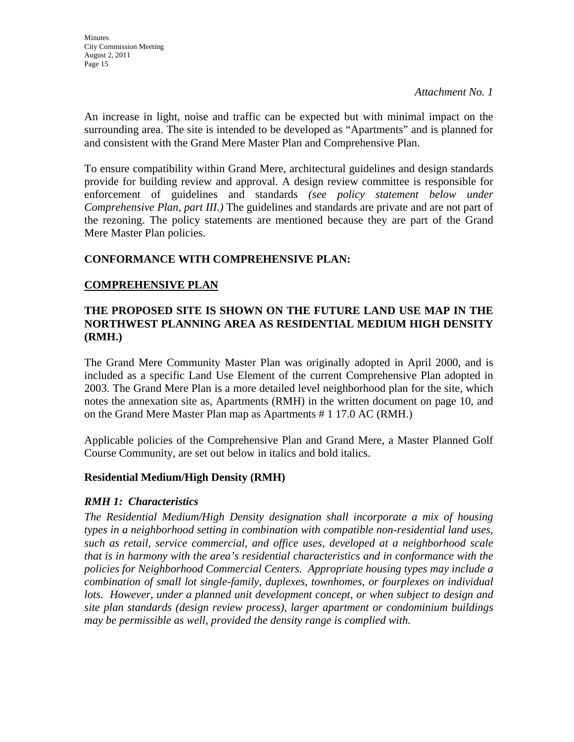An increase in light, noise and traffic can be expected but with minimal impact on the surrounding area. The site is intended to be developed as "Apartments" and is planned for and consistent with the Grand Mere Master Plan and Comprehensive Plan.

To ensure compatibility within Grand Mere, architectural guidelines and design standards provide for building review and approval. A design review committee is responsible for enforcement of guidelines and standards *(see policy statement below under Comprehensive Plan, part III.)* The guidelines and standards are private and are not part of the rezoning. The policy statements are mentioned because they are part of the Grand Mere Master Plan policies.

#### **CONFORMANCE WITH COMPREHENSIVE PLAN:**

#### **COMPREHENSIVE PLAN**

#### **THE PROPOSED SITE IS SHOWN ON THE FUTURE LAND USE MAP IN THE NORTHWEST PLANNING AREA AS RESIDENTIAL MEDIUM HIGH DENSITY (RMH.)**

The Grand Mere Community Master Plan was originally adopted in April 2000, and is included as a specific Land Use Element of the current Comprehensive Plan adopted in 2003. The Grand Mere Plan is a more detailed level neighborhood plan for the site, which notes the annexation site as, Apartments (RMH) in the written document on page 10, and on the Grand Mere Master Plan map as Apartments # 1 17.0 AC (RMH.)

Applicable policies of the Comprehensive Plan and Grand Mere, a Master Planned Golf Course Community, are set out below in italics and bold italics.

#### **Residential Medium/High Density (RMH)**

#### *RMH 1: Characteristics*

*The Residential Medium/High Density designation shall incorporate a mix of housing types in a neighborhood setting in combination with compatible non-residential land uses, such as retail, service commercial, and office uses, developed at a neighborhood scale that is in harmony with the area's residential characteristics and in conformance with the policies for Neighborhood Commercial Centers. Appropriate housing types may include a combination of small lot single-family, duplexes, townhomes, or fourplexes on individual lots. However, under a planned unit development concept, or when subject to design and site plan standards (design review process), larger apartment or condominium buildings may be permissible as well, provided the density range is complied with.*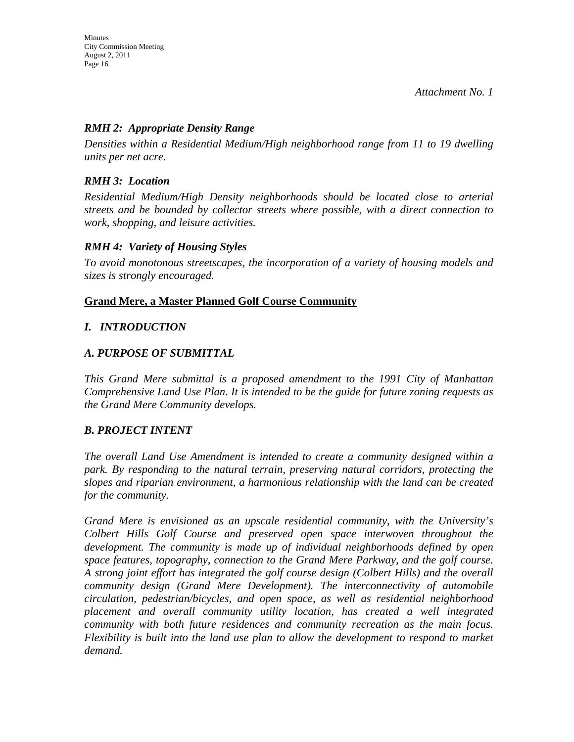#### *RMH 2: Appropriate Density Range*

*Densities within a Residential Medium/High neighborhood range from 11 to 19 dwelling units per net acre.* 

#### *RMH 3: Location*

*Residential Medium/High Density neighborhoods should be located close to arterial streets and be bounded by collector streets where possible, with a direct connection to work, shopping, and leisure activities.* 

#### *RMH 4: Variety of Housing Styles*

*To avoid monotonous streetscapes, the incorporation of a variety of housing models and sizes is strongly encouraged.* 

#### **Grand Mere, a Master Planned Golf Course Community**

#### *I. INTRODUCTION*

#### *A. PURPOSE OF SUBMITTAL*

*This Grand Mere submittal is a proposed amendment to the 1991 City of Manhattan Comprehensive Land Use Plan. It is intended to be the guide for future zoning requests as the Grand Mere Community develops.* 

#### *B. PROJECT INTENT*

*The overall Land Use Amendment is intended to create a community designed within a park. By responding to the natural terrain, preserving natural corridors, protecting the slopes and riparian environment, a harmonious relationship with the land can be created for the community.* 

*Grand Mere is envisioned as an upscale residential community, with the University's Colbert Hills Golf Course and preserved open space interwoven throughout the development. The community is made up of individual neighborhoods defined by open space features, topography, connection to the Grand Mere Parkway, and the golf course. A strong joint effort has integrated the golf course design (Colbert Hills) and the overall community design (Grand Mere Development). The interconnectivity of automobile circulation, pedestrian/bicycles, and open space, as well as residential neighborhood placement and overall community utility location, has created a well integrated community with both future residences and community recreation as the main focus. Flexibility is built into the land use plan to allow the development to respond to market demand.*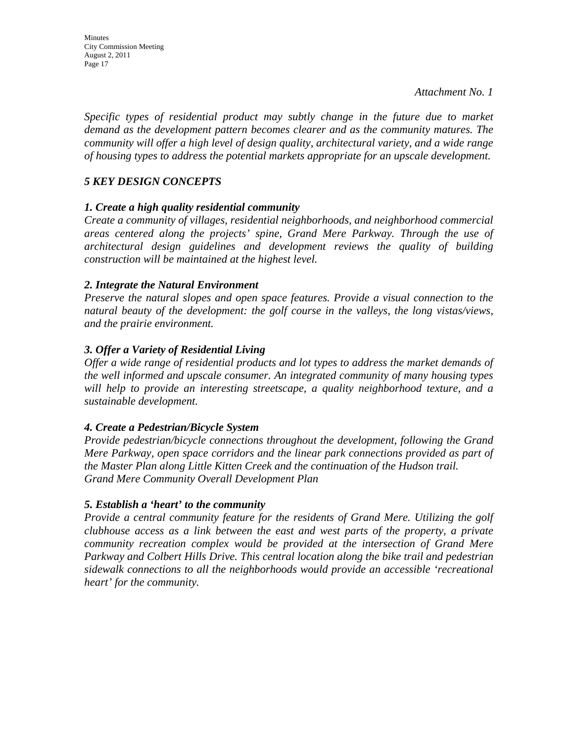*Specific types of residential product may subtly change in the future due to market demand as the development pattern becomes clearer and as the community matures. The community will offer a high level of design quality, architectural variety, and a wide range of housing types to address the potential markets appropriate for an upscale development.* 

#### *5 KEY DESIGN CONCEPTS*

#### *1. Create a high quality residential community*

*Create a community of villages, residential neighborhoods, and neighborhood commercial areas centered along the projects' spine, Grand Mere Parkway. Through the use of architectural design guidelines and development reviews the quality of building construction will be maintained at the highest level.* 

#### *2. Integrate the Natural Environment*

*Preserve the natural slopes and open space features. Provide a visual connection to the natural beauty of the development: the golf course in the valleys, the long vistas/views, and the prairie environment.* 

#### *3. Offer a Variety of Residential Living*

*Offer a wide range of residential products and lot types to address the market demands of the well informed and upscale consumer. An integrated community of many housing types will help to provide an interesting streetscape, a quality neighborhood texture, and a sustainable development.* 

#### *4. Create a Pedestrian/Bicycle System*

*Provide pedestrian/bicycle connections throughout the development, following the Grand Mere Parkway, open space corridors and the linear park connections provided as part of the Master Plan along Little Kitten Creek and the continuation of the Hudson trail. Grand Mere Community Overall Development Plan* 

#### *5. Establish a 'heart' to the community*

*Provide a central community feature for the residents of Grand Mere. Utilizing the golf clubhouse access as a link between the east and west parts of the property, a private community recreation complex would be provided at the intersection of Grand Mere Parkway and Colbert Hills Drive. This central location along the bike trail and pedestrian sidewalk connections to all the neighborhoods would provide an accessible 'recreational heart' for the community.*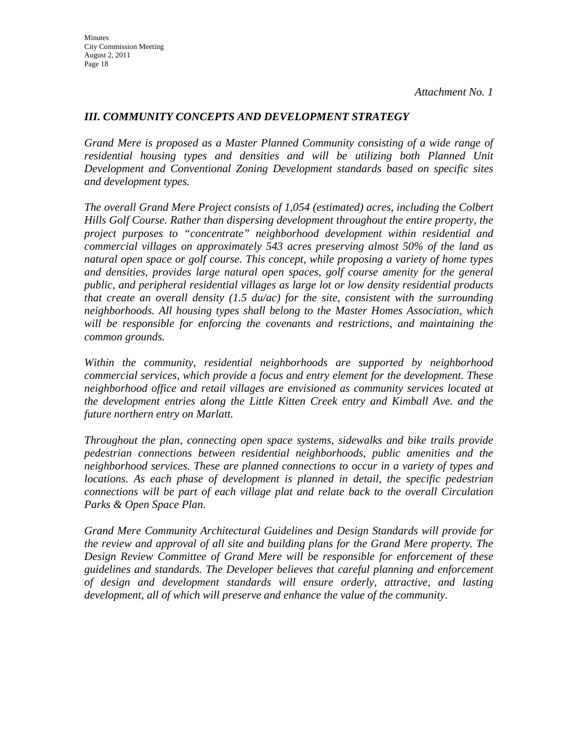#### *III. COMMUNITY CONCEPTS AND DEVELOPMENT STRATEGY*

*Grand Mere is proposed as a Master Planned Community consisting of a wide range of residential housing types and densities and will be utilizing both Planned Unit Development and Conventional Zoning Development standards based on specific sites and development types.* 

*The overall Grand Mere Project consists of 1,054 (estimated) acres, including the Colbert Hills Golf Course. Rather than dispersing development throughout the entire property, the project purposes to "concentrate" neighborhood development within residential and commercial villages on approximately 543 acres preserving almost 50% of the land as natural open space or golf course. This concept, while proposing a variety of home types and densities, provides large natural open spaces, golf course amenity for the general public, and peripheral residential villages as large lot or low density residential products that create an overall density (1.5 du/ac) for the site, consistent with the surrounding neighborhoods. All housing types shall belong to the Master Homes Association, which will be responsible for enforcing the covenants and restrictions, and maintaining the common grounds.* 

*Within the community, residential neighborhoods are supported by neighborhood commercial services, which provide a focus and entry element for the development. These neighborhood office and retail villages are envisioned as community services located at the development entries along the Little Kitten Creek entry and Kimball Ave. and the future northern entry on Marlatt.* 

*Throughout the plan, connecting open space systems, sidewalks and bike trails provide pedestrian connections between residential neighborhoods, public amenities and the neighborhood services. These are planned connections to occur in a variety of types and locations. As each phase of development is planned in detail, the specific pedestrian connections will be part of each village plat and relate back to the overall Circulation Parks & Open Space Plan.* 

*Grand Mere Community Architectural Guidelines and Design Standards will provide for the review and approval of all site and building plans for the Grand Mere property. The Design Review Committee of Grand Mere will be responsible for enforcement of these guidelines and standards. The Developer believes that careful planning and enforcement of design and development standards will ensure orderly, attractive, and lasting development, all of which will preserve and enhance the value of the community.*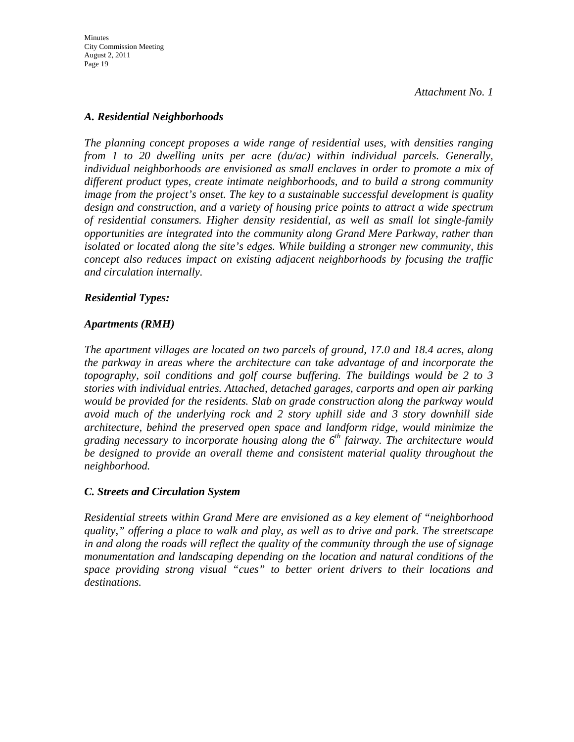Minutes City Commission Meeting August 2, 2011 Page 19

*Attachment No. 1* 

#### *A. Residential Neighborhoods*

*The planning concept proposes a wide range of residential uses, with densities ranging from 1 to 20 dwelling units per acre (du/ac) within individual parcels. Generally, individual neighborhoods are envisioned as small enclaves in order to promote a mix of different product types, create intimate neighborhoods, and to build a strong community image from the project's onset. The key to a sustainable successful development is quality design and construction, and a variety of housing price points to attract a wide spectrum of residential consumers. Higher density residential, as well as small lot single-family opportunities are integrated into the community along Grand Mere Parkway, rather than isolated or located along the site's edges. While building a stronger new community, this concept also reduces impact on existing adjacent neighborhoods by focusing the traffic and circulation internally.* 

#### *Residential Types:*

#### *Apartments (RMH)*

*The apartment villages are located on two parcels of ground, 17.0 and 18.4 acres, along the parkway in areas where the architecture can take advantage of and incorporate the topography, soil conditions and golf course buffering. The buildings would be 2 to 3 stories with individual entries. Attached, detached garages, carports and open air parking would be provided for the residents. Slab on grade construction along the parkway would avoid much of the underlying rock and 2 story uphill side and 3 story downhill side architecture, behind the preserved open space and landform ridge, would minimize the grading necessary to incorporate housing along the 6th fairway. The architecture would be designed to provide an overall theme and consistent material quality throughout the neighborhood.* 

#### *C. Streets and Circulation System*

*Residential streets within Grand Mere are envisioned as a key element of "neighborhood quality," offering a place to walk and play, as well as to drive and park. The streetscape in and along the roads will reflect the quality of the community through the use of signage monumentation and landscaping depending on the location and natural conditions of the space providing strong visual "cues" to better orient drivers to their locations and destinations.*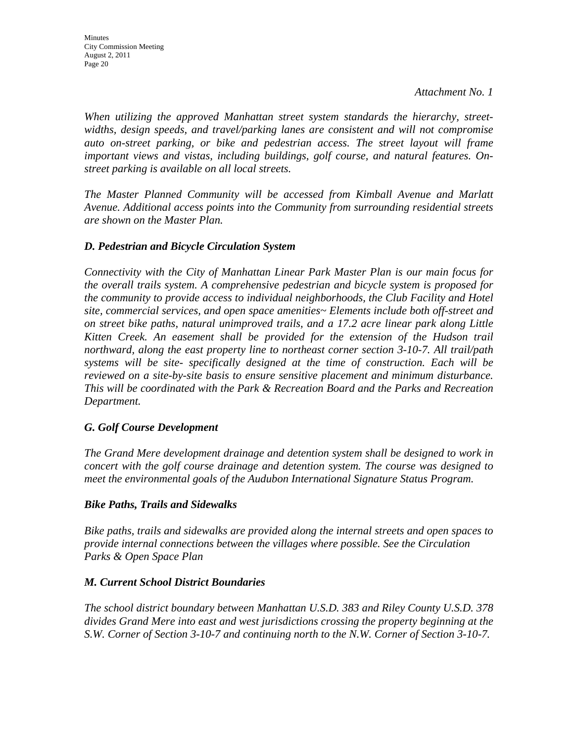*When utilizing the approved Manhattan street system standards the hierarchy, streetwidths, design speeds, and travel/parking lanes are consistent and will not compromise auto on-street parking, or bike and pedestrian access. The street layout will frame important views and vistas, including buildings, golf course, and natural features. Onstreet parking is available on all local streets.* 

*The Master Planned Community will be accessed from Kimball Avenue and Marlatt Avenue. Additional access points into the Community from surrounding residential streets are shown on the Master Plan.* 

#### *D. Pedestrian and Bicycle Circulation System*

*Connectivity with the City of Manhattan Linear Park Master Plan is our main focus for the overall trails system. A comprehensive pedestrian and bicycle system is proposed for the community to provide access to individual neighborhoods, the Club Facility and Hotel site, commercial services, and open space amenities~ Elements include both off-street and on street bike paths, natural unimproved trails, and a 17.2 acre linear park along Little Kitten Creek. An easement shall be provided for the extension of the Hudson trail northward, along the east property line to northeast corner section 3-10-7. All trail/path systems will be site- specifically designed at the time of construction. Each will be reviewed on a site-by-site basis to ensure sensitive placement and minimum disturbance. This will be coordinated with the Park & Recreation Board and the Parks and Recreation Department.* 

#### *G. Golf Course Development*

*The Grand Mere development drainage and detention system shall be designed to work in concert with the golf course drainage and detention system. The course was designed to meet the environmental goals of the Audubon International Signature Status Program.* 

#### *Bike Paths, Trails and Sidewalks*

*Bike paths, trails and sidewalks are provided along the internal streets and open spaces to provide internal connections between the villages where possible. See the Circulation Parks & Open Space Plan* 

#### *M. Current School District Boundaries*

*The school district boundary between Manhattan U.S.D. 383 and Riley County U.S.D. 378 divides Grand Mere into east and west jurisdictions crossing the property beginning at the S.W. Corner of Section 3-10-7 and continuing north to the N.W. Corner of Section 3-10-7.*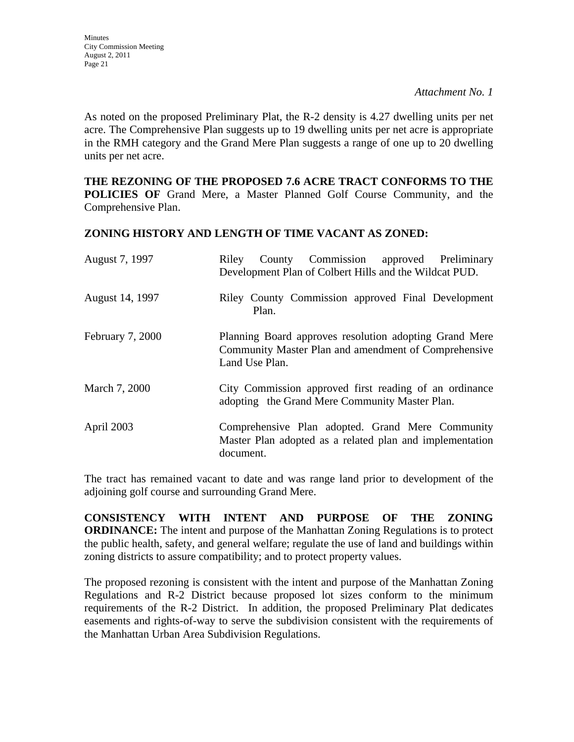As noted on the proposed Preliminary Plat, the R-2 density is 4.27 dwelling units per net acre. The Comprehensive Plan suggests up to 19 dwelling units per net acre is appropriate in the RMH category and the Grand Mere Plan suggests a range of one up to 20 dwelling units per net acre.

**THE REZONING OF THE PROPOSED 7.6 ACRE TRACT CONFORMS TO THE POLICIES OF** Grand Mere, a Master Planned Golf Course Community, and the Comprehensive Plan.

#### **ZONING HISTORY AND LENGTH OF TIME VACANT AS ZONED:**

| August 7, 1997          | County Commission approved Preliminary<br>Riley<br>Development Plan of Colbert Hills and the Wildcat PUD.                        |
|-------------------------|----------------------------------------------------------------------------------------------------------------------------------|
| August 14, 1997         | Riley County Commission approved Final Development<br>Plan.                                                                      |
| <b>February 7, 2000</b> | Planning Board approves resolution adopting Grand Mere<br>Community Master Plan and amendment of Comprehensive<br>Land Use Plan. |
| March 7, 2000           | City Commission approved first reading of an ordinance<br>adopting the Grand Mere Community Master Plan.                         |
| April 2003              | Comprehensive Plan adopted. Grand Mere Community<br>Master Plan adopted as a related plan and implementation<br>document.        |

The tract has remained vacant to date and was range land prior to development of the adjoining golf course and surrounding Grand Mere.

**CONSISTENCY WITH INTENT AND PURPOSE OF THE ZONING ORDINANCE:** The intent and purpose of the Manhattan Zoning Regulations is to protect the public health, safety, and general welfare; regulate the use of land and buildings within zoning districts to assure compatibility; and to protect property values.

The proposed rezoning is consistent with the intent and purpose of the Manhattan Zoning Regulations and R-2 District because proposed lot sizes conform to the minimum requirements of the R-2 District. In addition, the proposed Preliminary Plat dedicates easements and rights-of-way to serve the subdivision consistent with the requirements of the Manhattan Urban Area Subdivision Regulations.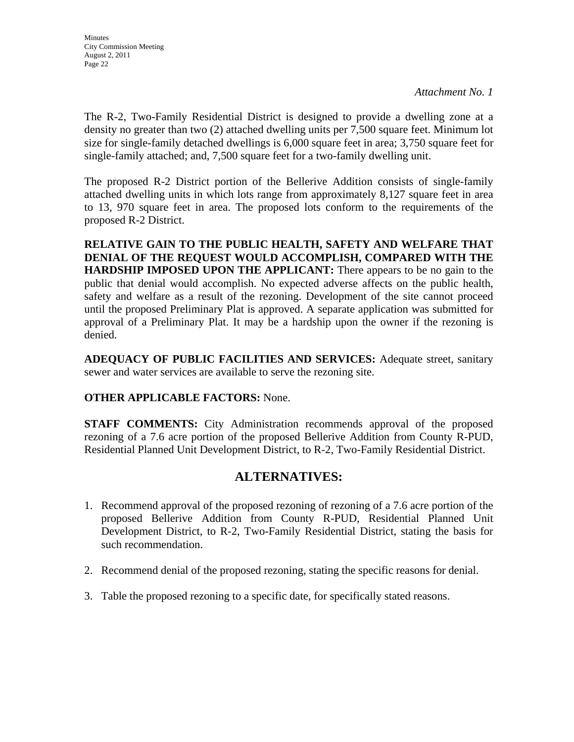The R-2, Two-Family Residential District is designed to provide a dwelling zone at a density no greater than two (2) attached dwelling units per 7,500 square feet. Minimum lot size for single-family detached dwellings is 6,000 square feet in area; 3,750 square feet for single-family attached; and, 7,500 square feet for a two-family dwelling unit.

The proposed R-2 District portion of the Bellerive Addition consists of single-family attached dwelling units in which lots range from approximately 8,127 square feet in area to 13, 970 square feet in area. The proposed lots conform to the requirements of the proposed R-2 District.

**RELATIVE GAIN TO THE PUBLIC HEALTH, SAFETY AND WELFARE THAT DENIAL OF THE REQUEST WOULD ACCOMPLISH, COMPARED WITH THE HARDSHIP IMPOSED UPON THE APPLICANT:** There appears to be no gain to the public that denial would accomplish. No expected adverse affects on the public health, safety and welfare as a result of the rezoning. Development of the site cannot proceed until the proposed Preliminary Plat is approved. A separate application was submitted for approval of a Preliminary Plat. It may be a hardship upon the owner if the rezoning is denied.

**ADEQUACY OF PUBLIC FACILITIES AND SERVICES:** Adequate street, sanitary sewer and water services are available to serve the rezoning site.

#### **OTHER APPLICABLE FACTORS:** None.

**STAFF COMMENTS:** City Administration recommends approval of the proposed rezoning of a 7.6 acre portion of the proposed Bellerive Addition from County R-PUD, Residential Planned Unit Development District, to R-2, Two-Family Residential District.

### **ALTERNATIVES:**

- 1. Recommend approval of the proposed rezoning of rezoning of a 7.6 acre portion of the proposed Bellerive Addition from County R-PUD, Residential Planned Unit Development District, to R-2, Two-Family Residential District, stating the basis for such recommendation.
- 2. Recommend denial of the proposed rezoning, stating the specific reasons for denial.
- 3. Table the proposed rezoning to a specific date, for specifically stated reasons.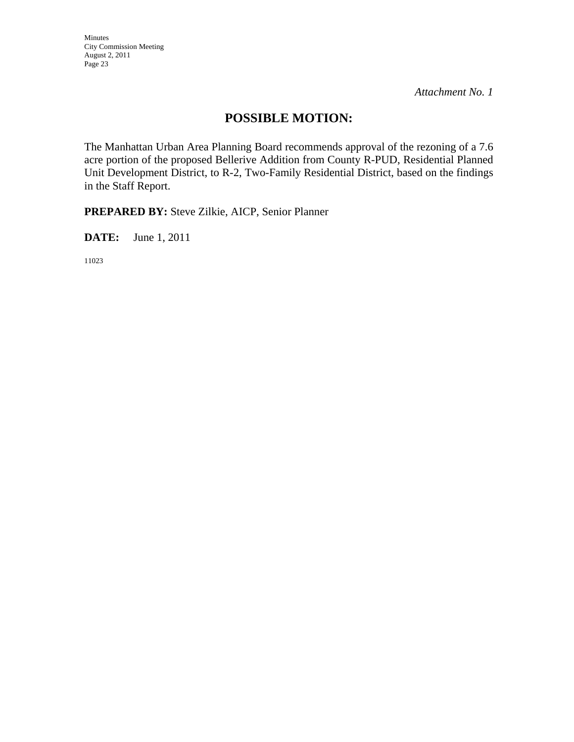Minutes City Commission Meeting August 2, 2011 Page 23

*Attachment No. 1* 

## **POSSIBLE MOTION:**

The Manhattan Urban Area Planning Board recommends approval of the rezoning of a 7.6 acre portion of the proposed Bellerive Addition from County R-PUD, Residential Planned Unit Development District, to R-2, Two-Family Residential District, based on the findings in the Staff Report.

**PREPARED BY:** Steve Zilkie, AICP, Senior Planner

**DATE:** June 1, 2011

11023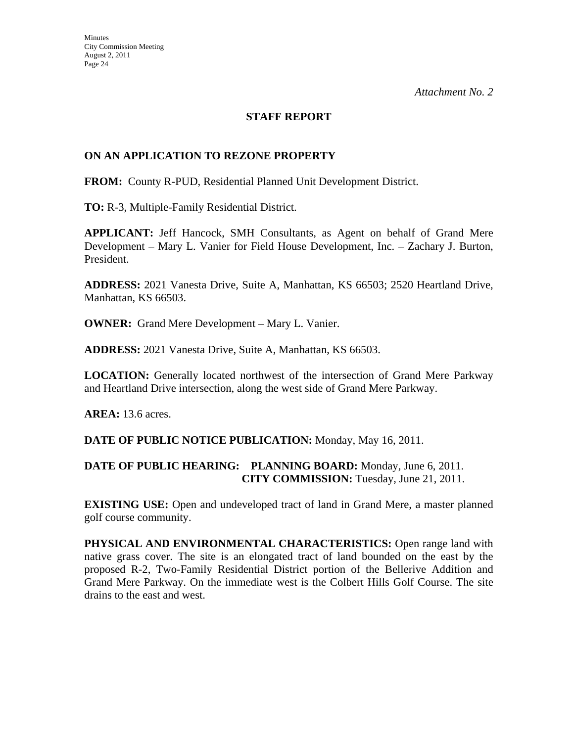#### **STAFF REPORT**

#### **ON AN APPLICATION TO REZONE PROPERTY**

**FROM:** County R-PUD, Residential Planned Unit Development District.

**TO:** R-3, Multiple-Family Residential District.

**APPLICANT:** Jeff Hancock, SMH Consultants, as Agent on behalf of Grand Mere Development – Mary L. Vanier for Field House Development, Inc. – Zachary J. Burton, President.

**ADDRESS:** 2021 Vanesta Drive, Suite A, Manhattan, KS 66503; 2520 Heartland Drive, Manhattan, KS 66503.

**OWNER:** Grand Mere Development – Mary L. Vanier.

**ADDRESS:** 2021 Vanesta Drive, Suite A, Manhattan, KS 66503.

**LOCATION:** Generally located northwest of the intersection of Grand Mere Parkway and Heartland Drive intersection, along the west side of Grand Mere Parkway.

**AREA:** 13.6 acres.

**DATE OF PUBLIC NOTICE PUBLICATION:** Monday, May 16, 2011.

#### **DATE OF PUBLIC HEARING: PLANNING BOARD:** Monday, June 6, 2011. **CITY COMMISSION:** Tuesday, June 21, 2011.

**EXISTING USE:** Open and undeveloped tract of land in Grand Mere, a master planned golf course community.

**PHYSICAL AND ENVIRONMENTAL CHARACTERISTICS:** Open range land with native grass cover. The site is an elongated tract of land bounded on the east by the proposed R-2, Two-Family Residential District portion of the Bellerive Addition and Grand Mere Parkway. On the immediate west is the Colbert Hills Golf Course. The site drains to the east and west.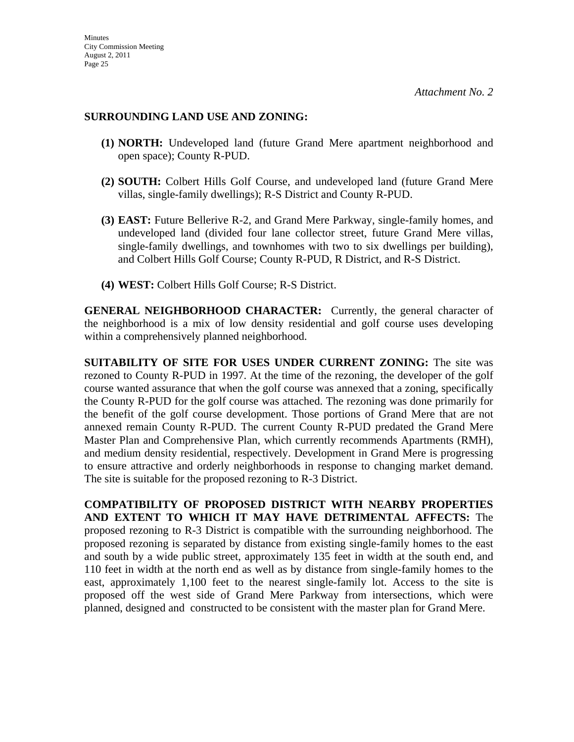#### **SURROUNDING LAND USE AND ZONING:**

- **(1) NORTH:** Undeveloped land (future Grand Mere apartment neighborhood and open space); County R-PUD.
- **(2) SOUTH:** Colbert Hills Golf Course, and undeveloped land (future Grand Mere villas, single-family dwellings); R-S District and County R-PUD.
- **(3) EAST:** Future Bellerive R-2, and Grand Mere Parkway, single-family homes, and undeveloped land (divided four lane collector street, future Grand Mere villas, single-family dwellings, and townhomes with two to six dwellings per building), and Colbert Hills Golf Course; County R-PUD, R District, and R-S District.
- **(4) WEST:** Colbert Hills Golf Course; R-S District.

**GENERAL NEIGHBORHOOD CHARACTER:** Currently, the general character of the neighborhood is a mix of low density residential and golf course uses developing within a comprehensively planned neighborhood.

**SUITABILITY OF SITE FOR USES UNDER CURRENT ZONING:** The site was rezoned to County R-PUD in 1997. At the time of the rezoning, the developer of the golf course wanted assurance that when the golf course was annexed that a zoning, specifically the County R-PUD for the golf course was attached. The rezoning was done primarily for the benefit of the golf course development. Those portions of Grand Mere that are not annexed remain County R-PUD. The current County R-PUD predated the Grand Mere Master Plan and Comprehensive Plan, which currently recommends Apartments (RMH), and medium density residential, respectively. Development in Grand Mere is progressing to ensure attractive and orderly neighborhoods in response to changing market demand. The site is suitable for the proposed rezoning to R-3 District.

**COMPATIBILITY OF PROPOSED DISTRICT WITH NEARBY PROPERTIES AND EXTENT TO WHICH IT MAY HAVE DETRIMENTAL AFFECTS:** The proposed rezoning to R-3 District is compatible with the surrounding neighborhood. The proposed rezoning is separated by distance from existing single-family homes to the east and south by a wide public street, approximately 135 feet in width at the south end, and 110 feet in width at the north end as well as by distance from single-family homes to the east, approximately 1,100 feet to the nearest single-family lot. Access to the site is proposed off the west side of Grand Mere Parkway from intersections, which were planned, designed and constructed to be consistent with the master plan for Grand Mere.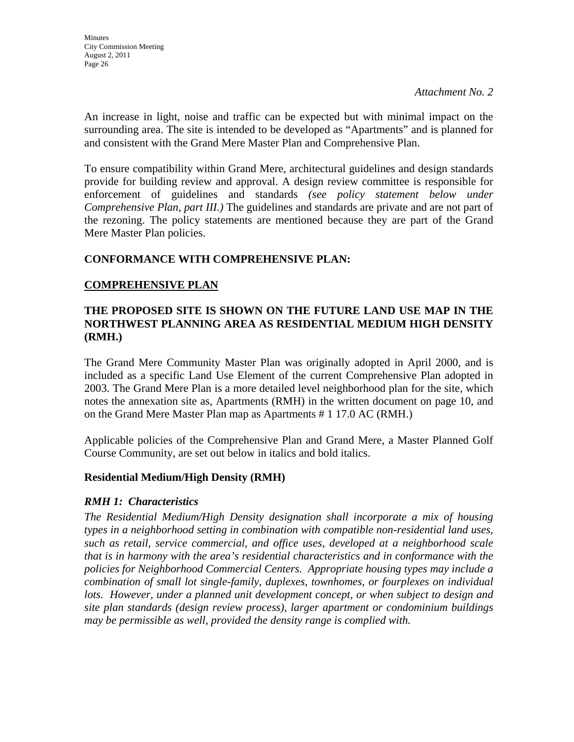An increase in light, noise and traffic can be expected but with minimal impact on the surrounding area. The site is intended to be developed as "Apartments" and is planned for and consistent with the Grand Mere Master Plan and Comprehensive Plan.

To ensure compatibility within Grand Mere, architectural guidelines and design standards provide for building review and approval. A design review committee is responsible for enforcement of guidelines and standards *(see policy statement below under Comprehensive Plan, part III.)* The guidelines and standards are private and are not part of the rezoning. The policy statements are mentioned because they are part of the Grand Mere Master Plan policies.

#### **CONFORMANCE WITH COMPREHENSIVE PLAN:**

#### **COMPREHENSIVE PLAN**

#### **THE PROPOSED SITE IS SHOWN ON THE FUTURE LAND USE MAP IN THE NORTHWEST PLANNING AREA AS RESIDENTIAL MEDIUM HIGH DENSITY (RMH.)**

The Grand Mere Community Master Plan was originally adopted in April 2000, and is included as a specific Land Use Element of the current Comprehensive Plan adopted in 2003. The Grand Mere Plan is a more detailed level neighborhood plan for the site, which notes the annexation site as, Apartments (RMH) in the written document on page 10, and on the Grand Mere Master Plan map as Apartments # 1 17.0 AC (RMH.)

Applicable policies of the Comprehensive Plan and Grand Mere, a Master Planned Golf Course Community, are set out below in italics and bold italics.

#### **Residential Medium/High Density (RMH)**

#### *RMH 1: Characteristics*

*The Residential Medium/High Density designation shall incorporate a mix of housing types in a neighborhood setting in combination with compatible non-residential land uses, such as retail, service commercial, and office uses, developed at a neighborhood scale that is in harmony with the area's residential characteristics and in conformance with the policies for Neighborhood Commercial Centers. Appropriate housing types may include a combination of small lot single-family, duplexes, townhomes, or fourplexes on individual lots. However, under a planned unit development concept, or when subject to design and site plan standards (design review process), larger apartment or condominium buildings may be permissible as well, provided the density range is complied with.*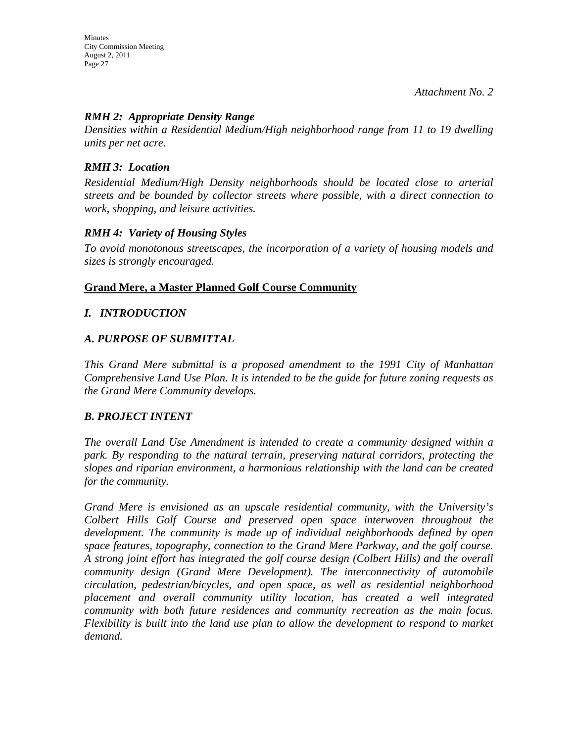#### *RMH 2: Appropriate Density Range*

*Densities within a Residential Medium/High neighborhood range from 11 to 19 dwelling units per net acre.* 

#### *RMH 3: Location*

*Residential Medium/High Density neighborhoods should be located close to arterial streets and be bounded by collector streets where possible, with a direct connection to work, shopping, and leisure activities.* 

#### *RMH 4: Variety of Housing Styles*

*To avoid monotonous streetscapes, the incorporation of a variety of housing models and sizes is strongly encouraged.* 

#### **Grand Mere, a Master Planned Golf Course Community**

#### *I. INTRODUCTION*

#### *A. PURPOSE OF SUBMITTAL*

*This Grand Mere submittal is a proposed amendment to the 1991 City of Manhattan Comprehensive Land Use Plan. It is intended to be the guide for future zoning requests as the Grand Mere Community develops.* 

#### *B. PROJECT INTENT*

*The overall Land Use Amendment is intended to create a community designed within a park. By responding to the natural terrain, preserving natural corridors, protecting the slopes and riparian environment, a harmonious relationship with the land can be created for the community.* 

*Grand Mere is envisioned as an upscale residential community, with the University's Colbert Hills Golf Course and preserved open space interwoven throughout the development. The community is made up of individual neighborhoods defined by open space features, topography, connection to the Grand Mere Parkway, and the golf course. A strong joint effort has integrated the golf course design (Colbert Hills) and the overall community design (Grand Mere Development). The interconnectivity of automobile circulation, pedestrian/bicycles, and open space, as well as residential neighborhood placement and overall community utility location, has created a well integrated community with both future residences and community recreation as the main focus. Flexibility is built into the land use plan to allow the development to respond to market demand.*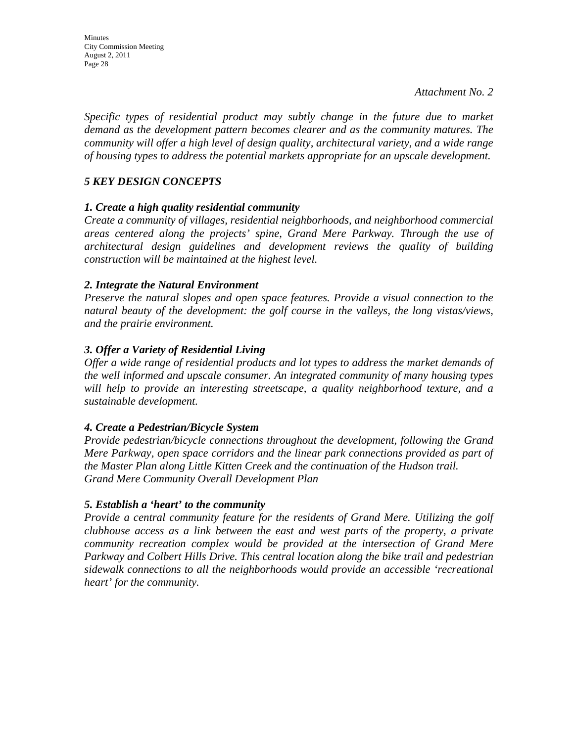*Specific types of residential product may subtly change in the future due to market demand as the development pattern becomes clearer and as the community matures. The community will offer a high level of design quality, architectural variety, and a wide range of housing types to address the potential markets appropriate for an upscale development.* 

#### *5 KEY DESIGN CONCEPTS*

#### *1. Create a high quality residential community*

*Create a community of villages, residential neighborhoods, and neighborhood commercial areas centered along the projects' spine, Grand Mere Parkway. Through the use of architectural design guidelines and development reviews the quality of building construction will be maintained at the highest level.* 

#### *2. Integrate the Natural Environment*

*Preserve the natural slopes and open space features. Provide a visual connection to the natural beauty of the development: the golf course in the valleys, the long vistas/views, and the prairie environment.* 

#### *3. Offer a Variety of Residential Living*

*Offer a wide range of residential products and lot types to address the market demands of the well informed and upscale consumer. An integrated community of many housing types will help to provide an interesting streetscape, a quality neighborhood texture, and a sustainable development.* 

#### *4. Create a Pedestrian/Bicycle System*

*Provide pedestrian/bicycle connections throughout the development, following the Grand Mere Parkway, open space corridors and the linear park connections provided as part of the Master Plan along Little Kitten Creek and the continuation of the Hudson trail. Grand Mere Community Overall Development Plan* 

#### *5. Establish a 'heart' to the community*

*Provide a central community feature for the residents of Grand Mere. Utilizing the golf clubhouse access as a link between the east and west parts of the property, a private community recreation complex would be provided at the intersection of Grand Mere Parkway and Colbert Hills Drive. This central location along the bike trail and pedestrian sidewalk connections to all the neighborhoods would provide an accessible 'recreational heart' for the community.*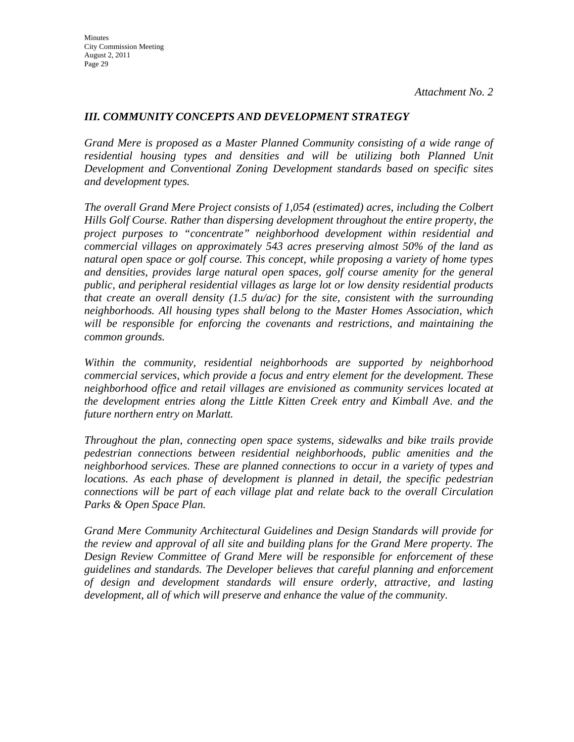#### *III. COMMUNITY CONCEPTS AND DEVELOPMENT STRATEGY*

*Grand Mere is proposed as a Master Planned Community consisting of a wide range of residential housing types and densities and will be utilizing both Planned Unit Development and Conventional Zoning Development standards based on specific sites and development types.* 

*The overall Grand Mere Project consists of 1,054 (estimated) acres, including the Colbert Hills Golf Course. Rather than dispersing development throughout the entire property, the project purposes to "concentrate" neighborhood development within residential and commercial villages on approximately 543 acres preserving almost 50% of the land as natural open space or golf course. This concept, while proposing a variety of home types and densities, provides large natural open spaces, golf course amenity for the general public, and peripheral residential villages as large lot or low density residential products that create an overall density (1.5 du/ac) for the site, consistent with the surrounding neighborhoods. All housing types shall belong to the Master Homes Association, which will be responsible for enforcing the covenants and restrictions, and maintaining the common grounds.* 

*Within the community, residential neighborhoods are supported by neighborhood commercial services, which provide a focus and entry element for the development. These neighborhood office and retail villages are envisioned as community services located at the development entries along the Little Kitten Creek entry and Kimball Ave. and the future northern entry on Marlatt.* 

*Throughout the plan, connecting open space systems, sidewalks and bike trails provide pedestrian connections between residential neighborhoods, public amenities and the neighborhood services. These are planned connections to occur in a variety of types and locations. As each phase of development is planned in detail, the specific pedestrian connections will be part of each village plat and relate back to the overall Circulation Parks & Open Space Plan.* 

*Grand Mere Community Architectural Guidelines and Design Standards will provide for the review and approval of all site and building plans for the Grand Mere property. The Design Review Committee of Grand Mere will be responsible for enforcement of these guidelines and standards. The Developer believes that careful planning and enforcement of design and development standards will ensure orderly, attractive, and lasting development, all of which will preserve and enhance the value of the community.*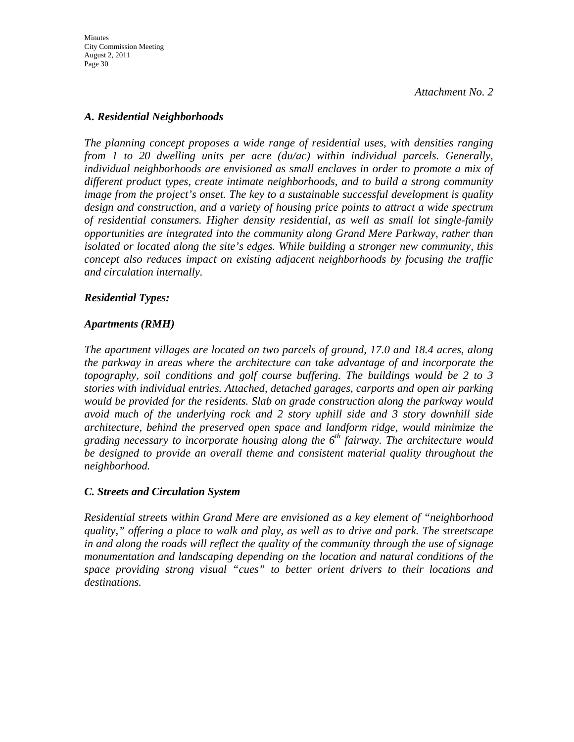#### *A. Residential Neighborhoods*

*The planning concept proposes a wide range of residential uses, with densities ranging from 1 to 20 dwelling units per acre (du/ac) within individual parcels. Generally, individual neighborhoods are envisioned as small enclaves in order to promote a mix of different product types, create intimate neighborhoods, and to build a strong community image from the project's onset. The key to a sustainable successful development is quality design and construction, and a variety of housing price points to attract a wide spectrum of residential consumers. Higher density residential, as well as small lot single-family opportunities are integrated into the community along Grand Mere Parkway, rather than isolated or located along the site's edges. While building a stronger new community, this concept also reduces impact on existing adjacent neighborhoods by focusing the traffic and circulation internally.* 

#### *Residential Types:*

#### *Apartments (RMH)*

*The apartment villages are located on two parcels of ground, 17.0 and 18.4 acres, along the parkway in areas where the architecture can take advantage of and incorporate the topography, soil conditions and golf course buffering. The buildings would be 2 to 3 stories with individual entries. Attached, detached garages, carports and open air parking would be provided for the residents. Slab on grade construction along the parkway would avoid much of the underlying rock and 2 story uphill side and 3 story downhill side architecture, behind the preserved open space and landform ridge, would minimize the grading necessary to incorporate housing along the 6th fairway. The architecture would be designed to provide an overall theme and consistent material quality throughout the neighborhood.* 

#### *C. Streets and Circulation System*

*Residential streets within Grand Mere are envisioned as a key element of "neighborhood quality," offering a place to walk and play, as well as to drive and park. The streetscape in and along the roads will reflect the quality of the community through the use of signage monumentation and landscaping depending on the location and natural conditions of the space providing strong visual "cues" to better orient drivers to their locations and destinations.*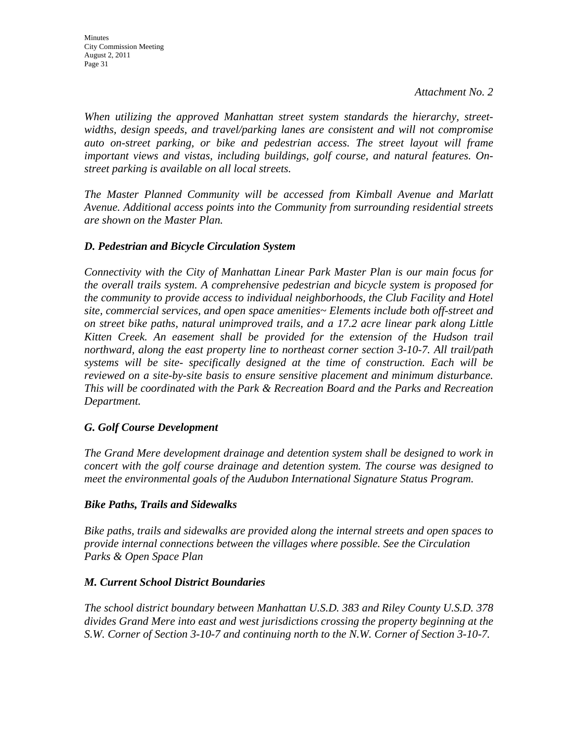*When utilizing the approved Manhattan street system standards the hierarchy, streetwidths, design speeds, and travel/parking lanes are consistent and will not compromise auto on-street parking, or bike and pedestrian access. The street layout will frame important views and vistas, including buildings, golf course, and natural features. Onstreet parking is available on all local streets.* 

*The Master Planned Community will be accessed from Kimball Avenue and Marlatt Avenue. Additional access points into the Community from surrounding residential streets are shown on the Master Plan.* 

#### *D. Pedestrian and Bicycle Circulation System*

*Connectivity with the City of Manhattan Linear Park Master Plan is our main focus for the overall trails system. A comprehensive pedestrian and bicycle system is proposed for the community to provide access to individual neighborhoods, the Club Facility and Hotel site, commercial services, and open space amenities~ Elements include both off-street and on street bike paths, natural unimproved trails, and a 17.2 acre linear park along Little Kitten Creek. An easement shall be provided for the extension of the Hudson trail northward, along the east property line to northeast corner section 3-10-7. All trail/path systems will be site- specifically designed at the time of construction. Each will be reviewed on a site-by-site basis to ensure sensitive placement and minimum disturbance. This will be coordinated with the Park & Recreation Board and the Parks and Recreation Department.* 

#### *G. Golf Course Development*

*The Grand Mere development drainage and detention system shall be designed to work in concert with the golf course drainage and detention system. The course was designed to meet the environmental goals of the Audubon International Signature Status Program.* 

#### *Bike Paths, Trails and Sidewalks*

*Bike paths, trails and sidewalks are provided along the internal streets and open spaces to provide internal connections between the villages where possible. See the Circulation Parks & Open Space Plan* 

#### *M. Current School District Boundaries*

*The school district boundary between Manhattan U.S.D. 383 and Riley County U.S.D. 378 divides Grand Mere into east and west jurisdictions crossing the property beginning at the S.W. Corner of Section 3-10-7 and continuing north to the N.W. Corner of Section 3-10-7.*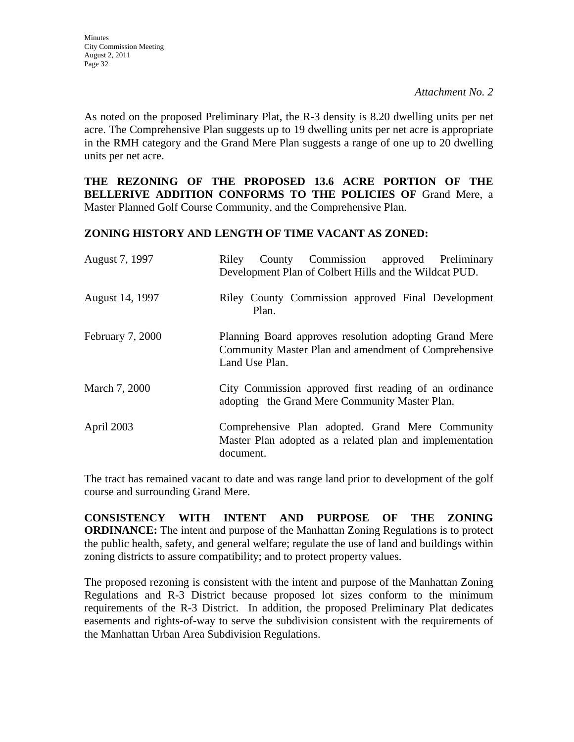As noted on the proposed Preliminary Plat, the R-3 density is 8.20 dwelling units per net acre. The Comprehensive Plan suggests up to 19 dwelling units per net acre is appropriate in the RMH category and the Grand Mere Plan suggests a range of one up to 20 dwelling units per net acre.

**THE REZONING OF THE PROPOSED 13.6 ACRE PORTION OF THE BELLERIVE ADDITION CONFORMS TO THE POLICIES OF** Grand Mere, a Master Planned Golf Course Community, and the Comprehensive Plan.

#### **ZONING HISTORY AND LENGTH OF TIME VACANT AS ZONED:**

| August 7, 1997          | County Commission approved Preliminary<br>Riley<br>Development Plan of Colbert Hills and the Wildcat PUD.                        |
|-------------------------|----------------------------------------------------------------------------------------------------------------------------------|
| August 14, 1997         | Riley County Commission approved Final Development<br>Plan.                                                                      |
| <b>February 7, 2000</b> | Planning Board approves resolution adopting Grand Mere<br>Community Master Plan and amendment of Comprehensive<br>Land Use Plan. |
| March 7, 2000           | City Commission approved first reading of an ordinance<br>adopting the Grand Mere Community Master Plan.                         |
| April 2003              | Comprehensive Plan adopted. Grand Mere Community<br>Master Plan adopted as a related plan and implementation<br>document.        |

The tract has remained vacant to date and was range land prior to development of the golf course and surrounding Grand Mere.

**CONSISTENCY WITH INTENT AND PURPOSE OF THE ZONING ORDINANCE:** The intent and purpose of the Manhattan Zoning Regulations is to protect the public health, safety, and general welfare; regulate the use of land and buildings within zoning districts to assure compatibility; and to protect property values.

The proposed rezoning is consistent with the intent and purpose of the Manhattan Zoning Regulations and R-3 District because proposed lot sizes conform to the minimum requirements of the R-3 District. In addition, the proposed Preliminary Plat dedicates easements and rights-of-way to serve the subdivision consistent with the requirements of the Manhattan Urban Area Subdivision Regulations.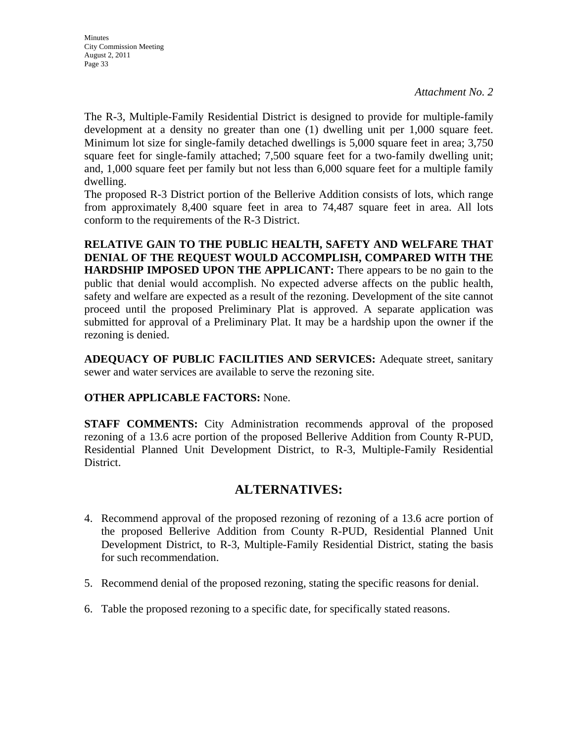The R-3, Multiple-Family Residential District is designed to provide for multiple-family development at a density no greater than one (1) dwelling unit per 1,000 square feet. Minimum lot size for single-family detached dwellings is 5,000 square feet in area; 3,750 square feet for single-family attached; 7,500 square feet for a two-family dwelling unit; and, 1,000 square feet per family but not less than 6,000 square feet for a multiple family dwelling.

The proposed R-3 District portion of the Bellerive Addition consists of lots, which range from approximately 8,400 square feet in area to 74,487 square feet in area. All lots conform to the requirements of the R-3 District.

**RELATIVE GAIN TO THE PUBLIC HEALTH, SAFETY AND WELFARE THAT DENIAL OF THE REQUEST WOULD ACCOMPLISH, COMPARED WITH THE HARDSHIP IMPOSED UPON THE APPLICANT:** There appears to be no gain to the public that denial would accomplish. No expected adverse affects on the public health, safety and welfare are expected as a result of the rezoning. Development of the site cannot proceed until the proposed Preliminary Plat is approved. A separate application was submitted for approval of a Preliminary Plat. It may be a hardship upon the owner if the rezoning is denied.

**ADEQUACY OF PUBLIC FACILITIES AND SERVICES:** Adequate street, sanitary sewer and water services are available to serve the rezoning site.

#### **OTHER APPLICABLE FACTORS:** None.

**STAFF COMMENTS:** City Administration recommends approval of the proposed rezoning of a 13.6 acre portion of the proposed Bellerive Addition from County R-PUD, Residential Planned Unit Development District, to R-3, Multiple-Family Residential District.

### **ALTERNATIVES:**

- 4. Recommend approval of the proposed rezoning of rezoning of a 13.6 acre portion of the proposed Bellerive Addition from County R-PUD, Residential Planned Unit Development District, to R-3, Multiple-Family Residential District, stating the basis for such recommendation.
- 5. Recommend denial of the proposed rezoning, stating the specific reasons for denial.
- 6. Table the proposed rezoning to a specific date, for specifically stated reasons.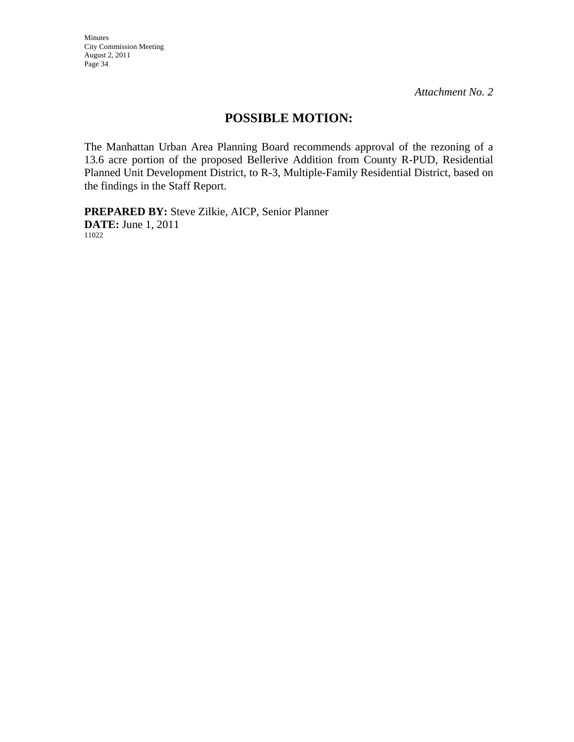Minutes City Commission Meeting August 2, 2011 Page 34

*Attachment No. 2* 

## **POSSIBLE MOTION:**

The Manhattan Urban Area Planning Board recommends approval of the rezoning of a 13.6 acre portion of the proposed Bellerive Addition from County R-PUD, Residential Planned Unit Development District, to R-3, Multiple-Family Residential District, based on the findings in the Staff Report.

**PREPARED BY:** Steve Zilkie, AICP, Senior Planner **DATE:** June 1, 2011 11022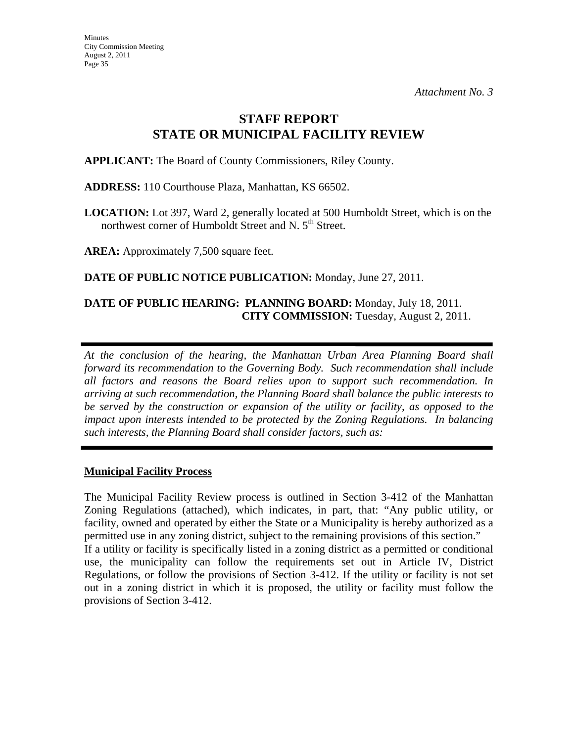## **STAFF REPORT STATE OR MUNICIPAL FACILITY REVIEW**

**APPLICANT:** The Board of County Commissioners, Riley County.

**ADDRESS:** 110 Courthouse Plaza, Manhattan, KS 66502.

**LOCATION:** Lot 397, Ward 2, generally located at 500 Humboldt Street, which is on the northwest corner of Humboldt Street and N. 5<sup>th</sup> Street.

**AREA:** Approximately 7,500 square feet.

**DATE OF PUBLIC NOTICE PUBLICATION:** Monday, June 27, 2011.

#### **DATE OF PUBLIC HEARING: PLANNING BOARD:** Monday, July 18, 2011. **CITY COMMISSION:** Tuesday, August 2, 2011.

*At the conclusion of the hearing, the Manhattan Urban Area Planning Board shall forward its recommendation to the Governing Body. Such recommendation shall include all factors and reasons the Board relies upon to support such recommendation. In arriving at such recommendation, the Planning Board shall balance the public interests to be served by the construction or expansion of the utility or facility, as opposed to the impact upon interests intended to be protected by the Zoning Regulations. In balancing such interests, the Planning Board shall consider factors, such as:* 

#### **Municipal Facility Process**

The Municipal Facility Review process is outlined in Section 3-412 of the Manhattan Zoning Regulations (attached), which indicates, in part, that: "Any public utility, or facility, owned and operated by either the State or a Municipality is hereby authorized as a permitted use in any zoning district, subject to the remaining provisions of this section." If a utility or facility is specifically listed in a zoning district as a permitted or conditional use, the municipality can follow the requirements set out in Article IV, District Regulations, or follow the provisions of Section 3-412. If the utility or facility is not set out in a zoning district in which it is proposed, the utility or facility must follow the provisions of Section 3-412.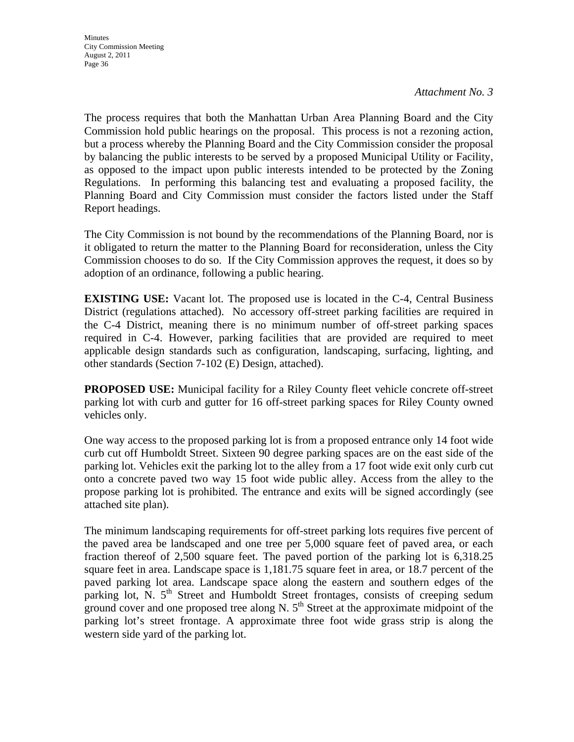The process requires that both the Manhattan Urban Area Planning Board and the City Commission hold public hearings on the proposal. This process is not a rezoning action, but a process whereby the Planning Board and the City Commission consider the proposal by balancing the public interests to be served by a proposed Municipal Utility or Facility, as opposed to the impact upon public interests intended to be protected by the Zoning Regulations. In performing this balancing test and evaluating a proposed facility, the Planning Board and City Commission must consider the factors listed under the Staff Report headings.

The City Commission is not bound by the recommendations of the Planning Board, nor is it obligated to return the matter to the Planning Board for reconsideration, unless the City Commission chooses to do so. If the City Commission approves the request, it does so by adoption of an ordinance, following a public hearing.

**EXISTING USE:** Vacant lot. The proposed use is located in the C-4, Central Business District (regulations attached). No accessory off-street parking facilities are required in the C-4 District, meaning there is no minimum number of off-street parking spaces required in C-4. However, parking facilities that are provided are required to meet applicable design standards such as configuration, landscaping, surfacing, lighting, and other standards (Section 7-102 (E) Design, attached).

**PROPOSED USE:** Municipal facility for a Riley County fleet vehicle concrete off-street parking lot with curb and gutter for 16 off-street parking spaces for Riley County owned vehicles only.

One way access to the proposed parking lot is from a proposed entrance only 14 foot wide curb cut off Humboldt Street. Sixteen 90 degree parking spaces are on the east side of the parking lot. Vehicles exit the parking lot to the alley from a 17 foot wide exit only curb cut onto a concrete paved two way 15 foot wide public alley. Access from the alley to the propose parking lot is prohibited. The entrance and exits will be signed accordingly (see attached site plan).

The minimum landscaping requirements for off-street parking lots requires five percent of the paved area be landscaped and one tree per 5,000 square feet of paved area, or each fraction thereof of 2,500 square feet. The paved portion of the parking lot is 6,318.25 square feet in area. Landscape space is 1,181.75 square feet in area, or 18.7 percent of the paved parking lot area. Landscape space along the eastern and southern edges of the parking lot, N.  $5<sup>th</sup>$  Street and Humboldt Street frontages, consists of creeping sedum ground cover and one proposed tree along N.  $5<sup>th</sup>$  Street at the approximate midpoint of the parking lot's street frontage. A approximate three foot wide grass strip is along the western side yard of the parking lot.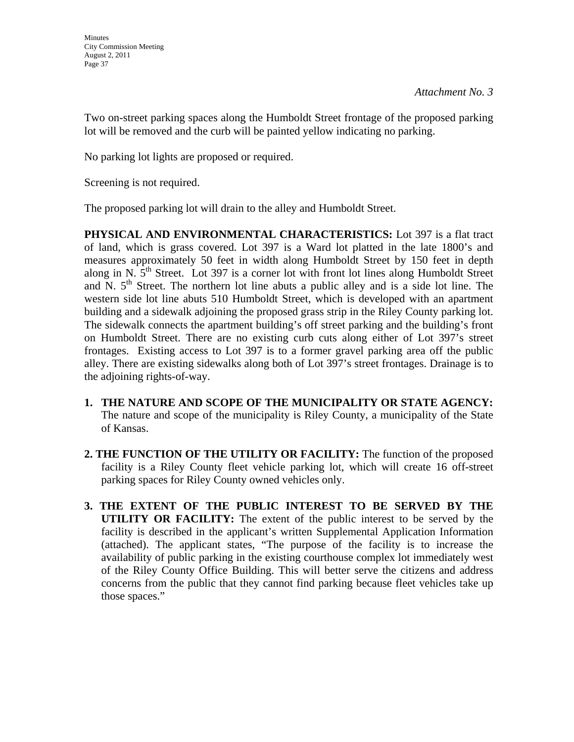Two on-street parking spaces along the Humboldt Street frontage of the proposed parking lot will be removed and the curb will be painted yellow indicating no parking.

No parking lot lights are proposed or required.

Screening is not required.

The proposed parking lot will drain to the alley and Humboldt Street.

**PHYSICAL AND ENVIRONMENTAL CHARACTERISTICS:** Lot 397 is a flat tract of land, which is grass covered. Lot 397 is a Ward lot platted in the late 1800's and measures approximately 50 feet in width along Humboldt Street by 150 feet in depth along in N.  $5<sup>th</sup>$  Street. Lot 397 is a corner lot with front lot lines along Humboldt Street and N.  $5<sup>th</sup>$  Street. The northern lot line abuts a public alley and is a side lot line. The western side lot line abuts 510 Humboldt Street, which is developed with an apartment building and a sidewalk adjoining the proposed grass strip in the Riley County parking lot. The sidewalk connects the apartment building's off street parking and the building's front on Humboldt Street. There are no existing curb cuts along either of Lot 397's street frontages. Existing access to Lot 397 is to a former gravel parking area off the public alley. There are existing sidewalks along both of Lot 397's street frontages. Drainage is to the adjoining rights-of-way.

- **1. THE NATURE AND SCOPE OF THE MUNICIPALITY OR STATE AGENCY:**  The nature and scope of the municipality is Riley County, a municipality of the State of Kansas.
- **2. THE FUNCTION OF THE UTILITY OR FACILITY:** The function of the proposed facility is a Riley County fleet vehicle parking lot, which will create 16 off-street parking spaces for Riley County owned vehicles only.
- **3. THE EXTENT OF THE PUBLIC INTEREST TO BE SERVED BY THE UTILITY OR FACILITY:** The extent of the public interest to be served by the facility is described in the applicant's written Supplemental Application Information (attached). The applicant states, "The purpose of the facility is to increase the availability of public parking in the existing courthouse complex lot immediately west of the Riley County Office Building. This will better serve the citizens and address concerns from the public that they cannot find parking because fleet vehicles take up those spaces."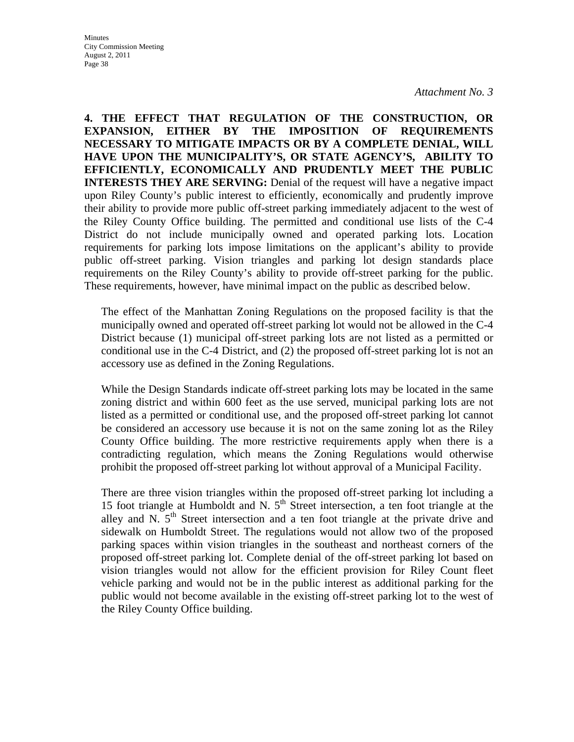**4. THE EFFECT THAT REGULATION OF THE CONSTRUCTION, OR EXPANSION, EITHER BY THE IMPOSITION OF REQUIREMENTS NECESSARY TO MITIGATE IMPACTS OR BY A COMPLETE DENIAL, WILL HAVE UPON THE MUNICIPALITY'S, OR STATE AGENCY'S, ABILITY TO EFFICIENTLY, ECONOMICALLY AND PRUDENTLY MEET THE PUBLIC INTERESTS THEY ARE SERVING:** Denial of the request will have a negative impact upon Riley County's public interest to efficiently, economically and prudently improve their ability to provide more public off-street parking immediately adjacent to the west of the Riley County Office building. The permitted and conditional use lists of the C-4 District do not include municipally owned and operated parking lots. Location requirements for parking lots impose limitations on the applicant's ability to provide public off-street parking. Vision triangles and parking lot design standards place requirements on the Riley County's ability to provide off-street parking for the public. These requirements, however, have minimal impact on the public as described below.

The effect of the Manhattan Zoning Regulations on the proposed facility is that the municipally owned and operated off-street parking lot would not be allowed in the C-4 District because (1) municipal off-street parking lots are not listed as a permitted or conditional use in the C-4 District, and (2) the proposed off-street parking lot is not an accessory use as defined in the Zoning Regulations.

While the Design Standards indicate off-street parking lots may be located in the same zoning district and within 600 feet as the use served, municipal parking lots are not listed as a permitted or conditional use, and the proposed off-street parking lot cannot be considered an accessory use because it is not on the same zoning lot as the Riley County Office building. The more restrictive requirements apply when there is a contradicting regulation, which means the Zoning Regulations would otherwise prohibit the proposed off-street parking lot without approval of a Municipal Facility.

There are three vision triangles within the proposed off-street parking lot including a 15 foot triangle at Humboldt and N.  $5<sup>th</sup>$  Street intersection, a ten foot triangle at the alley and N.  $5<sup>th</sup>$  Street intersection and a ten foot triangle at the private drive and sidewalk on Humboldt Street. The regulations would not allow two of the proposed parking spaces within vision triangles in the southeast and northeast corners of the proposed off-street parking lot. Complete denial of the off-street parking lot based on vision triangles would not allow for the efficient provision for Riley Count fleet vehicle parking and would not be in the public interest as additional parking for the public would not become available in the existing off-street parking lot to the west of the Riley County Office building.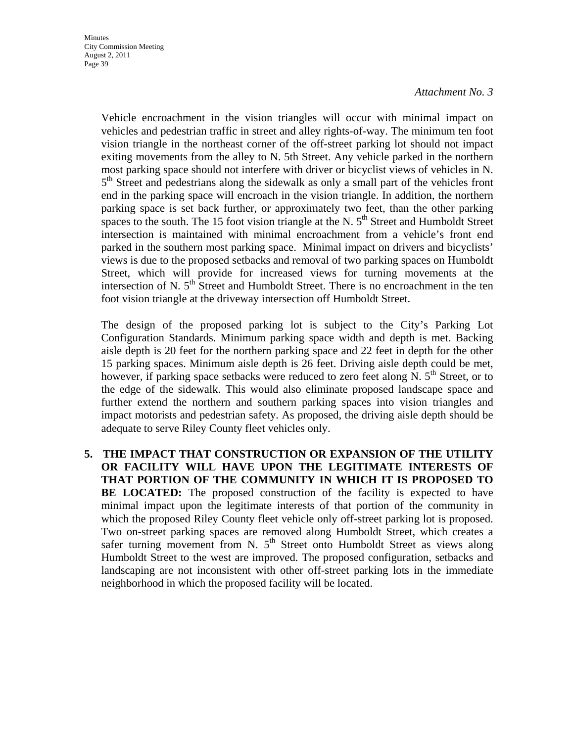Vehicle encroachment in the vision triangles will occur with minimal impact on vehicles and pedestrian traffic in street and alley rights-of-way. The minimum ten foot vision triangle in the northeast corner of the off-street parking lot should not impact exiting movements from the alley to N. 5th Street. Any vehicle parked in the northern most parking space should not interfere with driver or bicyclist views of vehicles in N.  $5<sup>th</sup>$  Street and pedestrians along the sidewalk as only a small part of the vehicles front end in the parking space will encroach in the vision triangle. In addition, the northern parking space is set back further, or approximately two feet, than the other parking spaces to the south. The 15 foot vision triangle at the N.  $5<sup>th</sup>$  Street and Humboldt Street intersection is maintained with minimal encroachment from a vehicle's front end parked in the southern most parking space. Minimal impact on drivers and bicyclists' views is due to the proposed setbacks and removal of two parking spaces on Humboldt Street, which will provide for increased views for turning movements at the intersection of N.  $5<sup>th</sup>$  Street and Humboldt Street. There is no encroachment in the ten foot vision triangle at the driveway intersection off Humboldt Street.

The design of the proposed parking lot is subject to the City's Parking Lot Configuration Standards. Minimum parking space width and depth is met. Backing aisle depth is 20 feet for the northern parking space and 22 feet in depth for the other 15 parking spaces. Minimum aisle depth is 26 feet. Driving aisle depth could be met, however, if parking space setbacks were reduced to zero feet along N.  $5<sup>th</sup>$  Street, or to the edge of the sidewalk. This would also eliminate proposed landscape space and further extend the northern and southern parking spaces into vision triangles and impact motorists and pedestrian safety. As proposed, the driving aisle depth should be adequate to serve Riley County fleet vehicles only.

**5. THE IMPACT THAT CONSTRUCTION OR EXPANSION OF THE UTILITY OR FACILITY WILL HAVE UPON THE LEGITIMATE INTERESTS OF THAT PORTION OF THE COMMUNITY IN WHICH IT IS PROPOSED TO BE LOCATED:** The proposed construction of the facility is expected to have minimal impact upon the legitimate interests of that portion of the community in which the proposed Riley County fleet vehicle only off-street parking lot is proposed. Two on-street parking spaces are removed along Humboldt Street, which creates a safer turning movement from N.  $5<sup>th</sup>$  Street onto Humboldt Street as views along Humboldt Street to the west are improved. The proposed configuration, setbacks and landscaping are not inconsistent with other off-street parking lots in the immediate neighborhood in which the proposed facility will be located.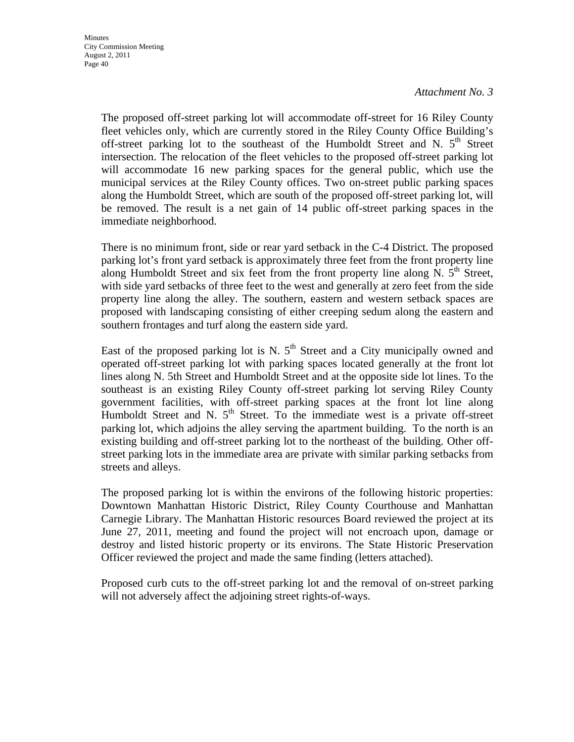The proposed off-street parking lot will accommodate off-street for 16 Riley County fleet vehicles only, which are currently stored in the Riley County Office Building's off-street parking lot to the southeast of the Humboldt Street and N.  $5<sup>th</sup>$  Street intersection. The relocation of the fleet vehicles to the proposed off-street parking lot will accommodate 16 new parking spaces for the general public, which use the municipal services at the Riley County offices. Two on-street public parking spaces along the Humboldt Street, which are south of the proposed off-street parking lot, will be removed. The result is a net gain of 14 public off-street parking spaces in the immediate neighborhood.

There is no minimum front, side or rear yard setback in the C-4 District. The proposed parking lot's front yard setback is approximately three feet from the front property line along Humboldt Street and six feet from the front property line along N.  $5<sup>th</sup>$  Street, with side yard setbacks of three feet to the west and generally at zero feet from the side property line along the alley. The southern, eastern and western setback spaces are proposed with landscaping consisting of either creeping sedum along the eastern and southern frontages and turf along the eastern side yard.

East of the proposed parking lot is N.  $5<sup>th</sup>$  Street and a City municipally owned and operated off-street parking lot with parking spaces located generally at the front lot lines along N. 5th Street and Humboldt Street and at the opposite side lot lines. To the southeast is an existing Riley County off-street parking lot serving Riley County government facilities, with off-street parking spaces at the front lot line along Humboldt Street and N.  $5<sup>th</sup>$  Street. To the immediate west is a private off-street parking lot, which adjoins the alley serving the apartment building. To the north is an existing building and off-street parking lot to the northeast of the building. Other offstreet parking lots in the immediate area are private with similar parking setbacks from streets and alleys.

The proposed parking lot is within the environs of the following historic properties: Downtown Manhattan Historic District, Riley County Courthouse and Manhattan Carnegie Library. The Manhattan Historic resources Board reviewed the project at its June 27, 2011, meeting and found the project will not encroach upon, damage or destroy and listed historic property or its environs. The State Historic Preservation Officer reviewed the project and made the same finding (letters attached).

Proposed curb cuts to the off-street parking lot and the removal of on-street parking will not adversely affect the adjoining street rights-of-ways.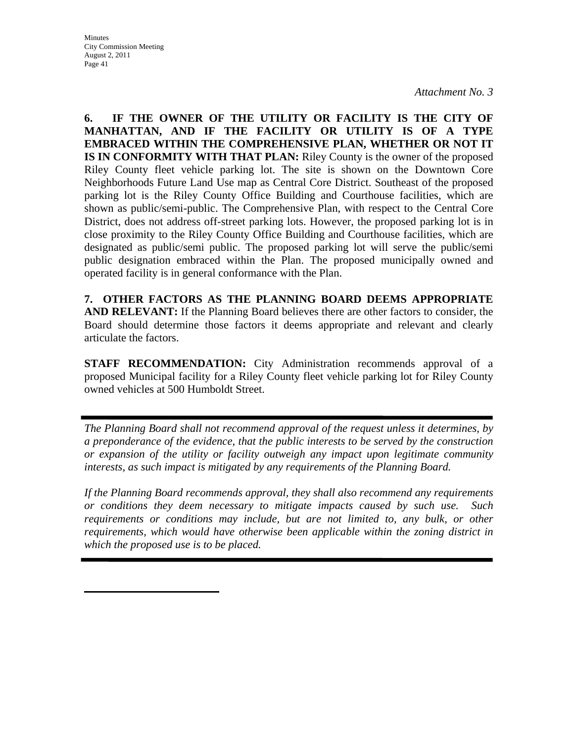**6. IF THE OWNER OF THE UTILITY OR FACILITY IS THE CITY OF MANHATTAN, AND IF THE FACILITY OR UTILITY IS OF A TYPE EMBRACED WITHIN THE COMPREHENSIVE PLAN, WHETHER OR NOT IT IS IN CONFORMITY WITH THAT PLAN:** Riley County is the owner of the proposed Riley County fleet vehicle parking lot. The site is shown on the Downtown Core Neighborhoods Future Land Use map as Central Core District. Southeast of the proposed parking lot is the Riley County Office Building and Courthouse facilities, which are shown as public/semi-public. The Comprehensive Plan, with respect to the Central Core District, does not address off-street parking lots. However, the proposed parking lot is in close proximity to the Riley County Office Building and Courthouse facilities, which are designated as public/semi public. The proposed parking lot will serve the public/semi public designation embraced within the Plan. The proposed municipally owned and operated facility is in general conformance with the Plan.

**7. OTHER FACTORS AS THE PLANNING BOARD DEEMS APPROPRIATE AND RELEVANT:** If the Planning Board believes there are other factors to consider, the Board should determine those factors it deems appropriate and relevant and clearly articulate the factors.

**STAFF RECOMMENDATION:** City Administration recommends approval of a proposed Municipal facility for a Riley County fleet vehicle parking lot for Riley County owned vehicles at 500 Humboldt Street.

*The Planning Board shall not recommend approval of the request unless it determines, by a preponderance of the evidence, that the public interests to be served by the construction or expansion of the utility or facility outweigh any impact upon legitimate community interests, as such impact is mitigated by any requirements of the Planning Board.* 

*If the Planning Board recommends approval, they shall also recommend any requirements or conditions they deem necessary to mitigate impacts caused by such use. Such requirements or conditions may include, but are not limited to, any bulk, or other requirements, which would have otherwise been applicable within the zoning district in which the proposed use is to be placed.*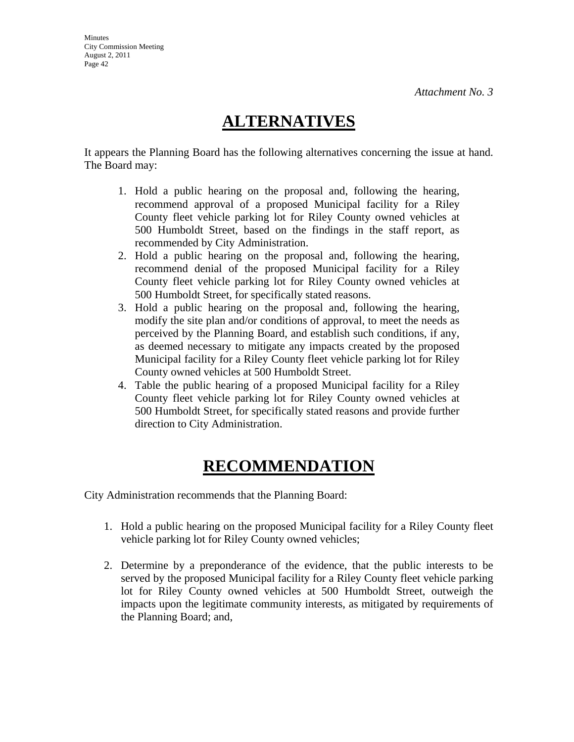# **ALTERNATIVES**

It appears the Planning Board has the following alternatives concerning the issue at hand. The Board may:

- 1. Hold a public hearing on the proposal and, following the hearing, recommend approval of a proposed Municipal facility for a Riley County fleet vehicle parking lot for Riley County owned vehicles at 500 Humboldt Street, based on the findings in the staff report, as recommended by City Administration.
- 2. Hold a public hearing on the proposal and, following the hearing, recommend denial of the proposed Municipal facility for a Riley County fleet vehicle parking lot for Riley County owned vehicles at 500 Humboldt Street, for specifically stated reasons.
- 3. Hold a public hearing on the proposal and, following the hearing, modify the site plan and/or conditions of approval, to meet the needs as perceived by the Planning Board, and establish such conditions, if any, as deemed necessary to mitigate any impacts created by the proposed Municipal facility for a Riley County fleet vehicle parking lot for Riley County owned vehicles at 500 Humboldt Street.
- 4. Table the public hearing of a proposed Municipal facility for a Riley County fleet vehicle parking lot for Riley County owned vehicles at 500 Humboldt Street, for specifically stated reasons and provide further direction to City Administration.

# **RECOMMENDATION**

City Administration recommends that the Planning Board:

- 1. Hold a public hearing on the proposed Municipal facility for a Riley County fleet vehicle parking lot for Riley County owned vehicles;
- 2. Determine by a preponderance of the evidence, that the public interests to be served by the proposed Municipal facility for a Riley County fleet vehicle parking lot for Riley County owned vehicles at 500 Humboldt Street, outweigh the impacts upon the legitimate community interests, as mitigated by requirements of the Planning Board; and,